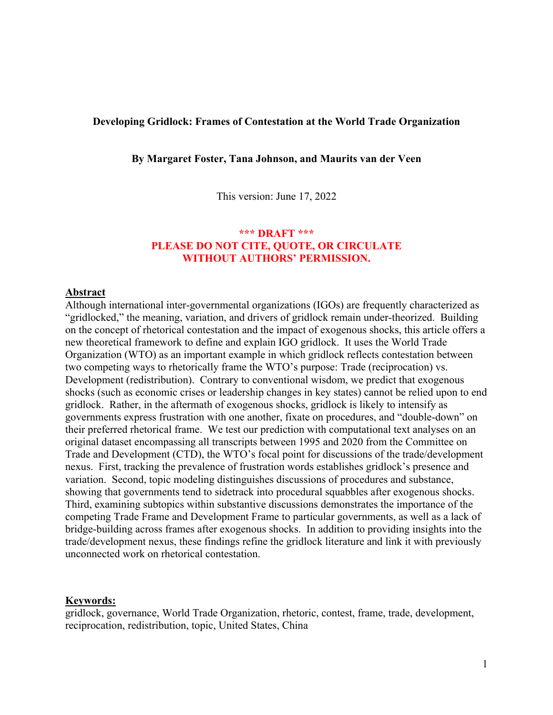## **Developing Gridlock: Frames of Contestation at the World Trade Organization**

**By Margaret Foster, Tana Johnson, and Maurits van der Veen**

This version: June 17, 2022

# **\*\*\* DRAFT \*\*\* PLEASE DO NOT CITE, QUOTE, OR CIRCULATE WITHOUT AUTHORS' PERMISSION.**

## **Abstract**

Although international inter-governmental organizations (IGOs) are frequently characterized as "gridlocked," the meaning, variation, and drivers of gridlock remain under-theorized. Building on the concept of rhetorical contestation and the impact of exogenous shocks, this article offers a new theoretical framework to define and explain IGO gridlock. It uses the World Trade Organization (WTO) as an important example in which gridlock reflects contestation between two competing ways to rhetorically frame the WTO's purpose: Trade (reciprocation) vs. Development (redistribution). Contrary to conventional wisdom, we predict that exogenous shocks (such as economic crises or leadership changes in key states) cannot be relied upon to end gridlock. Rather, in the aftermath of exogenous shocks, gridlock is likely to intensify as governments express frustration with one another, fixate on procedures, and "double-down" on their preferred rhetorical frame. We test our prediction with computational text analyses on an original dataset encompassing all transcripts between 1995 and 2020 from the Committee on Trade and Development (CTD), the WTO's focal point for discussions of the trade/development nexus. First, tracking the prevalence of frustration words establishes gridlock's presence and variation. Second, topic modeling distinguishes discussions of procedures and substance, showing that governments tend to sidetrack into procedural squabbles after exogenous shocks. Third, examining subtopics within substantive discussions demonstrates the importance of the competing Trade Frame and Development Frame to particular governments, as well as a lack of bridge-building across frames after exogenous shocks. In addition to providing insights into the trade/development nexus, these findings refine the gridlock literature and link it with previously unconnected work on rhetorical contestation.

#### **Keywords:**

gridlock, governance, World Trade Organization, rhetoric, contest, frame, trade, development, reciprocation, redistribution, topic, United States, China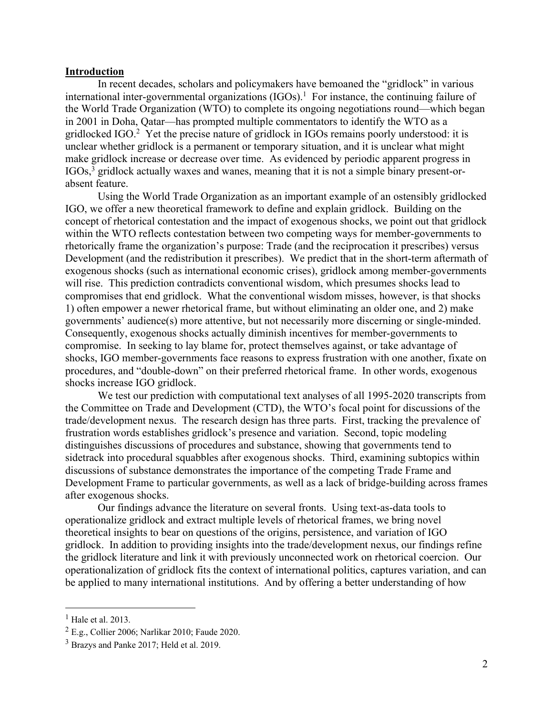#### **Introduction**

In recent decades, scholars and policymakers have bemoaned the "gridlock" in various international inter-governmental organizations  $(IGOs).$ <sup>1</sup> For instance, the continuing failure of the World Trade Organization (WTO) to complete its ongoing negotiations round—which began in 2001 in Doha, Qatar—has prompted multiple commentators to identify the WTO as a gridlocked IGO.<sup>2</sup> Yet the precise nature of gridlock in IGOs remains poorly understood: it is unclear whether gridlock is a permanent or temporary situation, and it is unclear what might make gridlock increase or decrease over time. As evidenced by periodic apparent progress in IGOs,3 gridlock actually waxes and wanes, meaning that it is not a simple binary present-orabsent feature.

Using the World Trade Organization as an important example of an ostensibly gridlocked IGO, we offer a new theoretical framework to define and explain gridlock. Building on the concept of rhetorical contestation and the impact of exogenous shocks, we point out that gridlock within the WTO reflects contestation between two competing ways for member-governments to rhetorically frame the organization's purpose: Trade (and the reciprocation it prescribes) versus Development (and the redistribution it prescribes). We predict that in the short-term aftermath of exogenous shocks (such as international economic crises), gridlock among member-governments will rise. This prediction contradicts conventional wisdom, which presumes shocks lead to compromises that end gridlock. What the conventional wisdom misses, however, is that shocks 1) often empower a newer rhetorical frame, but without eliminating an older one, and 2) make governments' audience(s) more attentive, but not necessarily more discerning or single-minded. Consequently, exogenous shocks actually diminish incentives for member-governments to compromise. In seeking to lay blame for, protect themselves against, or take advantage of shocks, IGO member-governments face reasons to express frustration with one another, fixate on procedures, and "double-down" on their preferred rhetorical frame. In other words, exogenous shocks increase IGO gridlock.

We test our prediction with computational text analyses of all 1995-2020 transcripts from the Committee on Trade and Development (CTD), the WTO's focal point for discussions of the trade/development nexus. The research design has three parts. First, tracking the prevalence of frustration words establishes gridlock's presence and variation. Second, topic modeling distinguishes discussions of procedures and substance, showing that governments tend to sidetrack into procedural squabbles after exogenous shocks. Third, examining subtopics within discussions of substance demonstrates the importance of the competing Trade Frame and Development Frame to particular governments, as well as a lack of bridge-building across frames after exogenous shocks.

Our findings advance the literature on several fronts. Using text-as-data tools to operationalize gridlock and extract multiple levels of rhetorical frames, we bring novel theoretical insights to bear on questions of the origins, persistence, and variation of IGO gridlock. In addition to providing insights into the trade/development nexus, our findings refine the gridlock literature and link it with previously unconnected work on rhetorical coercion. Our operationalization of gridlock fits the context of international politics, captures variation, and can be applied to many international institutions. And by offering a better understanding of how

 $<sup>1</sup>$  Hale et al. 2013.</sup>

<sup>2</sup> E.g., Collier 2006; Narlikar 2010; Faude 2020.

<sup>3</sup> Brazys and Panke 2017; Held et al. 2019.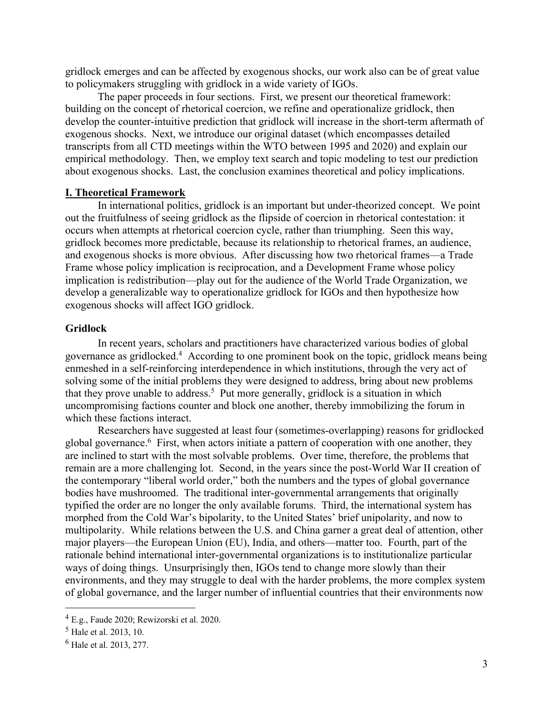gridlock emerges and can be affected by exogenous shocks, our work also can be of great value to policymakers struggling with gridlock in a wide variety of IGOs.

The paper proceeds in four sections. First, we present our theoretical framework: building on the concept of rhetorical coercion, we refine and operationalize gridlock, then develop the counter-intuitive prediction that gridlock will increase in the short-term aftermath of exogenous shocks. Next, we introduce our original dataset (which encompasses detailed transcripts from all CTD meetings within the WTO between 1995 and 2020) and explain our empirical methodology. Then, we employ text search and topic modeling to test our prediction about exogenous shocks. Last, the conclusion examines theoretical and policy implications.

## **I. Theoretical Framework**

In international politics, gridlock is an important but under-theorized concept. We point out the fruitfulness of seeing gridlock as the flipside of coercion in rhetorical contestation: it occurs when attempts at rhetorical coercion cycle, rather than triumphing. Seen this way, gridlock becomes more predictable, because its relationship to rhetorical frames, an audience, and exogenous shocks is more obvious. After discussing how two rhetorical frames—a Trade Frame whose policy implication is reciprocation, and a Development Frame whose policy implication is redistribution—play out for the audience of the World Trade Organization, we develop a generalizable way to operationalize gridlock for IGOs and then hypothesize how exogenous shocks will affect IGO gridlock.

## **Gridlock**

In recent years, scholars and practitioners have characterized various bodies of global governance as gridlocked.4 According to one prominent book on the topic, gridlock means being enmeshed in a self-reinforcing interdependence in which institutions, through the very act of solving some of the initial problems they were designed to address, bring about new problems that they prove unable to address.5 Put more generally, gridlock is a situation in which uncompromising factions counter and block one another, thereby immobilizing the forum in which these factions interact.

Researchers have suggested at least four (sometimes-overlapping) reasons for gridlocked global governance.<sup>6</sup> First, when actors initiate a pattern of cooperation with one another, they are inclined to start with the most solvable problems. Over time, therefore, the problems that remain are a more challenging lot. Second, in the years since the post-World War II creation of the contemporary "liberal world order," both the numbers and the types of global governance bodies have mushroomed. The traditional inter-governmental arrangements that originally typified the order are no longer the only available forums. Third, the international system has morphed from the Cold War's bipolarity, to the United States' brief unipolarity, and now to multipolarity. While relations between the U.S. and China garner a great deal of attention, other major players—the European Union (EU), India, and others—matter too. Fourth, part of the rationale behind international inter-governmental organizations is to institutionalize particular ways of doing things. Unsurprisingly then, IGOs tend to change more slowly than their environments, and they may struggle to deal with the harder problems, the more complex system of global governance, and the larger number of influential countries that their environments now

<sup>4</sup> E.g., Faude 2020; Rewizorski et al. 2020.

<sup>5</sup> Hale et al. 2013, 10.

<sup>6</sup> Hale et al. 2013, 277.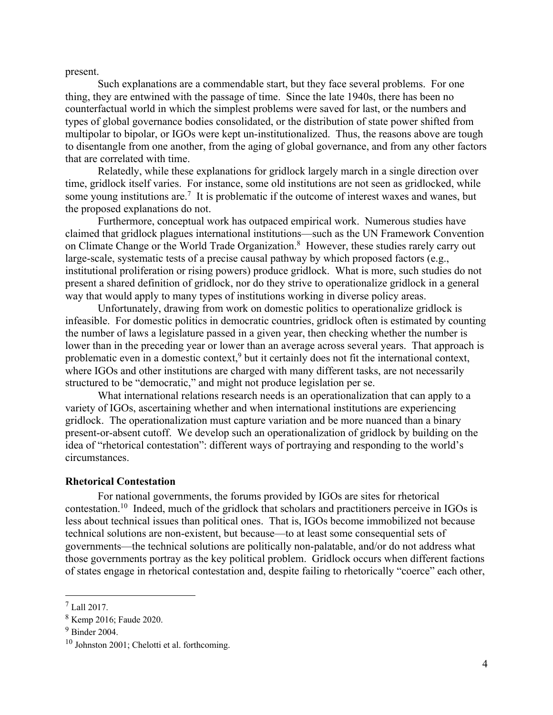present.

Such explanations are a commendable start, but they face several problems. For one thing, they are entwined with the passage of time. Since the late 1940s, there has been no counterfactual world in which the simplest problems were saved for last, or the numbers and types of global governance bodies consolidated, or the distribution of state power shifted from multipolar to bipolar, or IGOs were kept un-institutionalized. Thus, the reasons above are tough to disentangle from one another, from the aging of global governance, and from any other factors that are correlated with time.

Relatedly, while these explanations for gridlock largely march in a single direction over time, gridlock itself varies. For instance, some old institutions are not seen as gridlocked, while some young institutions are.<sup>7</sup> It is problematic if the outcome of interest waxes and wanes, but the proposed explanations do not.

Furthermore, conceptual work has outpaced empirical work. Numerous studies have claimed that gridlock plagues international institutions—such as the UN Framework Convention on Climate Change or the World Trade Organization.<sup>8</sup> However, these studies rarely carry out large-scale, systematic tests of a precise causal pathway by which proposed factors (e.g., institutional proliferation or rising powers) produce gridlock. What is more, such studies do not present a shared definition of gridlock, nor do they strive to operationalize gridlock in a general way that would apply to many types of institutions working in diverse policy areas.

Unfortunately, drawing from work on domestic politics to operationalize gridlock is infeasible. For domestic politics in democratic countries, gridlock often is estimated by counting the number of laws a legislature passed in a given year, then checking whether the number is lower than in the preceding year or lower than an average across several years. That approach is problematic even in a domestic context, $9$  but it certainly does not fit the international context, where IGOs and other institutions are charged with many different tasks, are not necessarily structured to be "democratic," and might not produce legislation per se.

What international relations research needs is an operationalization that can apply to a variety of IGOs, ascertaining whether and when international institutions are experiencing gridlock. The operationalization must capture variation and be more nuanced than a binary present-or-absent cutoff. We develop such an operationalization of gridlock by building on the idea of "rhetorical contestation": different ways of portraying and responding to the world's circumstances.

## **Rhetorical Contestation**

For national governments, the forums provided by IGOs are sites for rhetorical contestation.10 Indeed, much of the gridlock that scholars and practitioners perceive in IGOs is less about technical issues than political ones. That is, IGOs become immobilized not because technical solutions are non-existent, but because—to at least some consequential sets of governments—the technical solutions are politically non-palatable, and/or do not address what those governments portray as the key political problem. Gridlock occurs when different factions of states engage in rhetorical contestation and, despite failing to rhetorically "coerce" each other,

<sup>7</sup> Lall 2017.

<sup>8</sup> Kemp 2016; Faude 2020.

<sup>9</sup> Binder 2004.

<sup>10</sup> Johnston 2001; Chelotti et al. forthcoming.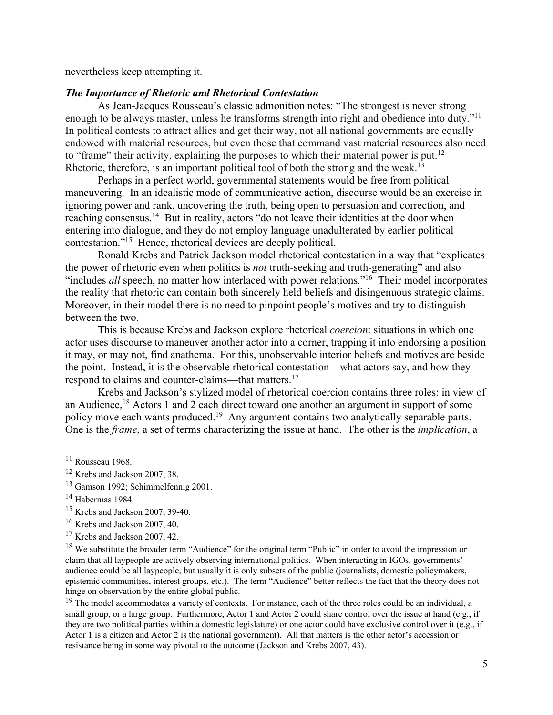nevertheless keep attempting it.

## *The Importance of Rhetoric and Rhetorical Contestation*

As Jean-Jacques Rousseau's classic admonition notes: "The strongest is never strong enough to be always master, unless he transforms strength into right and obedience into duty."<sup>11</sup> In political contests to attract allies and get their way, not all national governments are equally endowed with material resources, but even those that command vast material resources also need to "frame" their activity, explaining the purposes to which their material power is put.<sup>12</sup> Rhetoric, therefore, is an important political tool of both the strong and the weak.<sup>13</sup>

Perhaps in a perfect world, governmental statements would be free from political maneuvering. In an idealistic mode of communicative action, discourse would be an exercise in ignoring power and rank, uncovering the truth, being open to persuasion and correction, and reaching consensus.14 But in reality, actors "do not leave their identities at the door when entering into dialogue, and they do not employ language unadulterated by earlier political contestation."15 Hence, rhetorical devices are deeply political.

Ronald Krebs and Patrick Jackson model rhetorical contestation in a way that "explicates the power of rhetoric even when politics is *not* truth-seeking and truth-generating" and also "includes *all* speech, no matter how interlaced with power relations."16 Their model incorporates the reality that rhetoric can contain both sincerely held beliefs and disingenuous strategic claims. Moreover, in their model there is no need to pinpoint people's motives and try to distinguish between the two.

This is because Krebs and Jackson explore rhetorical *coercion*: situations in which one actor uses discourse to maneuver another actor into a corner, trapping it into endorsing a position it may, or may not, find anathema. For this, unobservable interior beliefs and motives are beside the point. Instead, it is the observable rhetorical contestation—what actors say, and how they respond to claims and counter-claims—that matters.<sup>17</sup>

Krebs and Jackson's stylized model of rhetorical coercion contains three roles: in view of an Audience,<sup>18</sup> Actors 1 and 2 each direct toward one another an argument in support of some policy move each wants produced.19 Any argument contains two analytically separable parts. One is the *frame*, a set of terms characterizing the issue at hand. The other is the *implication*, a

<sup>11</sup> Rousseau 1968.

<sup>12</sup> Krebs and Jackson 2007, 38.

<sup>&</sup>lt;sup>13</sup> Gamson 1992; Schimmelfennig 2001.

<sup>14</sup> Habermas 1984.

<sup>15</sup> Krebs and Jackson 2007, 39-40.

<sup>16</sup> Krebs and Jackson 2007, 40.

<sup>&</sup>lt;sup>17</sup> Krebs and Jackson 2007, 42.

<sup>&</sup>lt;sup>18</sup> We substitute the broader term "Audience" for the original term "Public" in order to avoid the impression or claim that all laypeople are actively observing international politics. When interacting in IGOs, governments' audience could be all laypeople, but usually it is only subsets of the public (journalists, domestic policymakers, epistemic communities, interest groups, etc.). The term "Audience" better reflects the fact that the theory does not hinge on observation by the entire global public.

<sup>&</sup>lt;sup>19</sup> The model accommodates a variety of contexts. For instance, each of the three roles could be an individual, a small group, or a large group. Furthermore, Actor 1 and Actor 2 could share control over the issue at hand (e.g., if they are two political parties within a domestic legislature) or one actor could have exclusive control over it (e.g., if Actor 1 is a citizen and Actor 2 is the national government). All that matters is the other actor's accession or resistance being in some way pivotal to the outcome (Jackson and Krebs 2007, 43).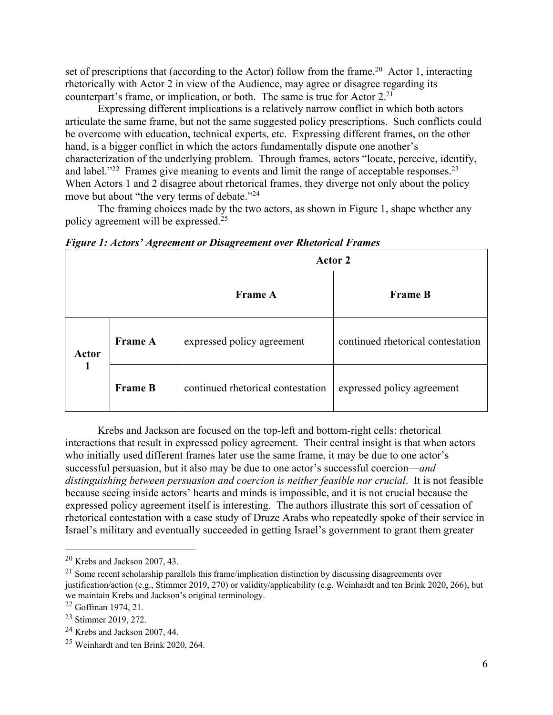set of prescriptions that (according to the Actor) follow from the frame.<sup>20</sup> Actor 1, interacting rhetorically with Actor 2 in view of the Audience, may agree or disagree regarding its counterpart's frame, or implication, or both. The same is true for Actor  $2^{21}$ 

Expressing different implications is a relatively narrow conflict in which both actors articulate the same frame, but not the same suggested policy prescriptions. Such conflicts could be overcome with education, technical experts, etc. Expressing different frames, on the other hand, is a bigger conflict in which the actors fundamentally dispute one another's characterization of the underlying problem. Through frames, actors "locate, perceive, identify, and label."<sup>22</sup> Frames give meaning to events and limit the range of acceptable responses.<sup>23</sup> When Actors 1 and 2 disagree about rhetorical frames, they diverge not only about the policy move but about "the very terms of debate."<sup>24</sup>

The framing choices made by the two actors, as shown in Figure 1, shape whether any policy agreement will be expressed.25

| ີຕ<br>$\sigma$ |                | $\sim$<br>Actor 2                 |                                   |  |
|----------------|----------------|-----------------------------------|-----------------------------------|--|
|                |                | <b>Frame A</b>                    | <b>Frame B</b>                    |  |
| Actor          | <b>Frame A</b> | expressed policy agreement        | continued rhetorical contestation |  |
|                | <b>Frame B</b> | continued rhetorical contestation | expressed policy agreement        |  |

*Figure 1: Actors' Agreement or Disagreement over Rhetorical Frames*

Krebs and Jackson are focused on the top-left and bottom-right cells: rhetorical interactions that result in expressed policy agreement. Their central insight is that when actors who initially used different frames later use the same frame, it may be due to one actor's successful persuasion, but it also may be due to one actor's successful coercion—*and distinguishing between persuasion and coercion is neither feasible nor crucial*. It is not feasible because seeing inside actors' hearts and minds is impossible, and it is not crucial because the expressed policy agreement itself is interesting. The authors illustrate this sort of cessation of rhetorical contestation with a case study of Druze Arabs who repeatedly spoke of their service in Israel's military and eventually succeeded in getting Israel's government to grant them greater

<sup>20</sup> Krebs and Jackson 2007, 43.

 $^{21}$  Some recent scholarship parallels this frame/implication distinction by discussing disagreements over justification/action (e.g., Stimmer 2019, 270) or validity/applicability (e.g. Weinhardt and ten Brink 2020, 266), but we maintain Krebs and Jackson's original terminology.

<sup>22</sup> Goffman 1974, 21.

<sup>23</sup> Stimmer 2019, 272.

<sup>24</sup> Krebs and Jackson 2007, 44.

<sup>25</sup> Weinhardt and ten Brink 2020, 264.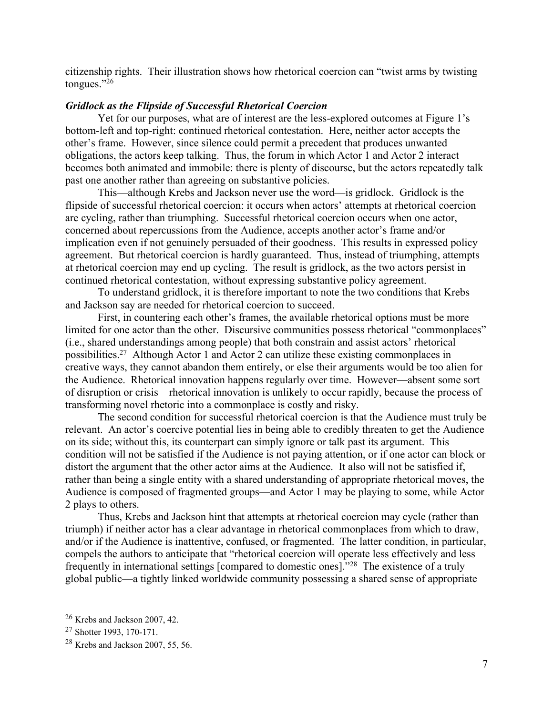citizenship rights. Their illustration shows how rhetorical coercion can "twist arms by twisting tongues."26

## *Gridlock as the Flipside of Successful Rhetorical Coercion*

Yet for our purposes, what are of interest are the less-explored outcomes at Figure 1's bottom-left and top-right: continued rhetorical contestation. Here, neither actor accepts the other's frame. However, since silence could permit a precedent that produces unwanted obligations, the actors keep talking. Thus, the forum in which Actor 1 and Actor 2 interact becomes both animated and immobile: there is plenty of discourse, but the actors repeatedly talk past one another rather than agreeing on substantive policies.

This—although Krebs and Jackson never use the word—is gridlock. Gridlock is the flipside of successful rhetorical coercion: it occurs when actors' attempts at rhetorical coercion are cycling, rather than triumphing. Successful rhetorical coercion occurs when one actor, concerned about repercussions from the Audience, accepts another actor's frame and/or implication even if not genuinely persuaded of their goodness. This results in expressed policy agreement. But rhetorical coercion is hardly guaranteed. Thus, instead of triumphing, attempts at rhetorical coercion may end up cycling. The result is gridlock, as the two actors persist in continued rhetorical contestation, without expressing substantive policy agreement.

To understand gridlock, it is therefore important to note the two conditions that Krebs and Jackson say are needed for rhetorical coercion to succeed.

First, in countering each other's frames, the available rhetorical options must be more limited for one actor than the other. Discursive communities possess rhetorical "commonplaces" (i.e., shared understandings among people) that both constrain and assist actors' rhetorical possibilities.27 Although Actor 1 and Actor 2 can utilize these existing commonplaces in creative ways, they cannot abandon them entirely, or else their arguments would be too alien for the Audience. Rhetorical innovation happens regularly over time. However—absent some sort of disruption or crisis—rhetorical innovation is unlikely to occur rapidly, because the process of transforming novel rhetoric into a commonplace is costly and risky.

The second condition for successful rhetorical coercion is that the Audience must truly be relevant. An actor's coercive potential lies in being able to credibly threaten to get the Audience on its side; without this, its counterpart can simply ignore or talk past its argument. This condition will not be satisfied if the Audience is not paying attention, or if one actor can block or distort the argument that the other actor aims at the Audience. It also will not be satisfied if, rather than being a single entity with a shared understanding of appropriate rhetorical moves, the Audience is composed of fragmented groups—and Actor 1 may be playing to some, while Actor 2 plays to others.

Thus, Krebs and Jackson hint that attempts at rhetorical coercion may cycle (rather than triumph) if neither actor has a clear advantage in rhetorical commonplaces from which to draw, and/or if the Audience is inattentive, confused, or fragmented. The latter condition, in particular, compels the authors to anticipate that "rhetorical coercion will operate less effectively and less frequently in international settings [compared to domestic ones]."28 The existence of a truly global public—a tightly linked worldwide community possessing a shared sense of appropriate

<sup>26</sup> Krebs and Jackson 2007, 42.

<sup>27</sup> Shotter 1993, 170-171.

<sup>28</sup> Krebs and Jackson 2007, 55, 56.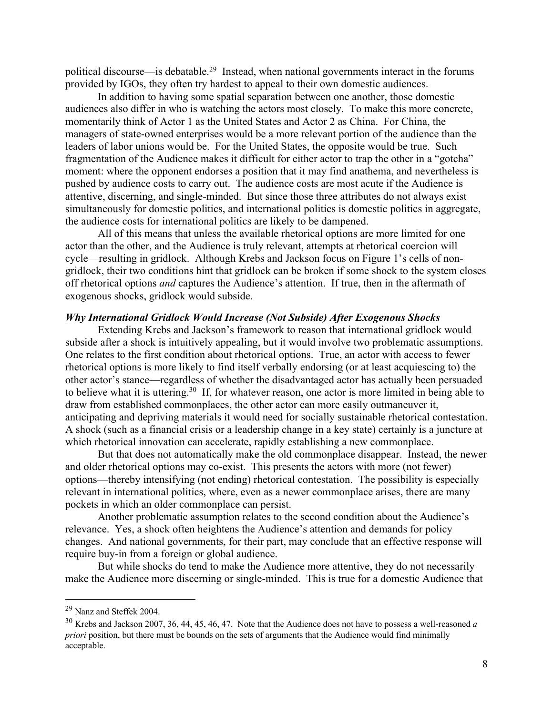political discourse—is debatable.29 Instead, when national governments interact in the forums provided by IGOs, they often try hardest to appeal to their own domestic audiences.

In addition to having some spatial separation between one another, those domestic audiences also differ in who is watching the actors most closely. To make this more concrete, momentarily think of Actor 1 as the United States and Actor 2 as China. For China, the managers of state-owned enterprises would be a more relevant portion of the audience than the leaders of labor unions would be. For the United States, the opposite would be true. Such fragmentation of the Audience makes it difficult for either actor to trap the other in a "gotcha" moment: where the opponent endorses a position that it may find anathema, and nevertheless is pushed by audience costs to carry out. The audience costs are most acute if the Audience is attentive, discerning, and single-minded. But since those three attributes do not always exist simultaneously for domestic politics, and international politics is domestic politics in aggregate, the audience costs for international politics are likely to be dampened.

All of this means that unless the available rhetorical options are more limited for one actor than the other, and the Audience is truly relevant, attempts at rhetorical coercion will cycle—resulting in gridlock. Although Krebs and Jackson focus on Figure 1's cells of nongridlock, their two conditions hint that gridlock can be broken if some shock to the system closes off rhetorical options *and* captures the Audience's attention. If true, then in the aftermath of exogenous shocks, gridlock would subside.

#### *Why International Gridlock Would Increase (Not Subside) After Exogenous Shocks*

Extending Krebs and Jackson's framework to reason that international gridlock would subside after a shock is intuitively appealing, but it would involve two problematic assumptions. One relates to the first condition about rhetorical options. True, an actor with access to fewer rhetorical options is more likely to find itself verbally endorsing (or at least acquiescing to) the other actor's stance—regardless of whether the disadvantaged actor has actually been persuaded to believe what it is uttering.30 If, for whatever reason, one actor is more limited in being able to draw from established commonplaces, the other actor can more easily outmaneuver it, anticipating and depriving materials it would need for socially sustainable rhetorical contestation. A shock (such as a financial crisis or a leadership change in a key state) certainly is a juncture at which rhetorical innovation can accelerate, rapidly establishing a new commonplace.

But that does not automatically make the old commonplace disappear. Instead, the newer and older rhetorical options may co-exist. This presents the actors with more (not fewer) options—thereby intensifying (not ending) rhetorical contestation. The possibility is especially relevant in international politics, where, even as a newer commonplace arises, there are many pockets in which an older commonplace can persist.

Another problematic assumption relates to the second condition about the Audience's relevance. Yes, a shock often heightens the Audience's attention and demands for policy changes. And national governments, for their part, may conclude that an effective response will require buy-in from a foreign or global audience.

But while shocks do tend to make the Audience more attentive, they do not necessarily make the Audience more discerning or single-minded. This is true for a domestic Audience that

<sup>29</sup> Nanz and Steffek 2004.

<sup>30</sup> Krebs and Jackson 2007, 36, 44, 45, 46, 47. Note that the Audience does not have to possess a well-reasoned *a priori* position, but there must be bounds on the sets of arguments that the Audience would find minimally acceptable.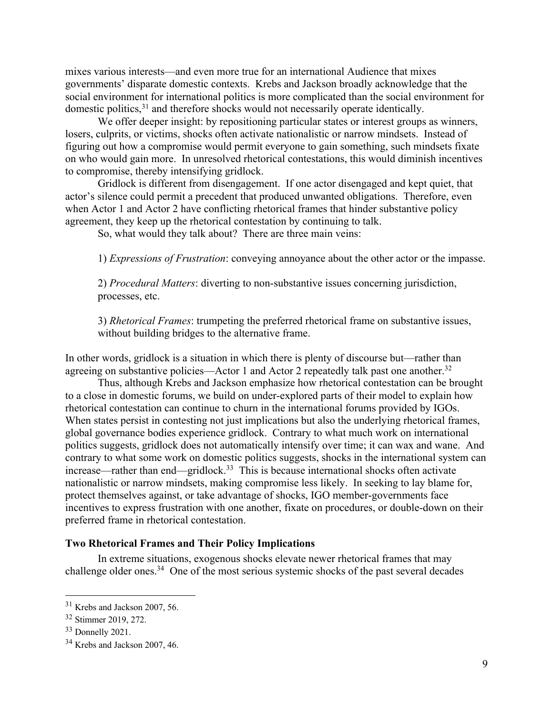mixes various interests—and even more true for an international Audience that mixes governments' disparate domestic contexts. Krebs and Jackson broadly acknowledge that the social environment for international politics is more complicated than the social environment for domestic politics,<sup>31</sup> and therefore shocks would not necessarily operate identically.

We offer deeper insight: by repositioning particular states or interest groups as winners, losers, culprits, or victims, shocks often activate nationalistic or narrow mindsets. Instead of figuring out how a compromise would permit everyone to gain something, such mindsets fixate on who would gain more. In unresolved rhetorical contestations, this would diminish incentives to compromise, thereby intensifying gridlock.

Gridlock is different from disengagement. If one actor disengaged and kept quiet, that actor's silence could permit a precedent that produced unwanted obligations. Therefore, even when Actor 1 and Actor 2 have conflicting rhetorical frames that hinder substantive policy agreement, they keep up the rhetorical contestation by continuing to talk.

So, what would they talk about? There are three main veins:

1) *Expressions of Frustration*: conveying annoyance about the other actor or the impasse.

2) *Procedural Matters*: diverting to non-substantive issues concerning jurisdiction, processes, etc.

3) *Rhetorical Frames*: trumpeting the preferred rhetorical frame on substantive issues, without building bridges to the alternative frame.

In other words, gridlock is a situation in which there is plenty of discourse but—rather than agreeing on substantive policies—Actor 1 and Actor 2 repeatedly talk past one another.<sup>32</sup>

Thus, although Krebs and Jackson emphasize how rhetorical contestation can be brought to a close in domestic forums, we build on under-explored parts of their model to explain how rhetorical contestation can continue to churn in the international forums provided by IGOs. When states persist in contesting not just implications but also the underlying rhetorical frames, global governance bodies experience gridlock. Contrary to what much work on international politics suggests, gridlock does not automatically intensify over time; it can wax and wane. And contrary to what some work on domestic politics suggests, shocks in the international system can increase—rather than end—gridlock.33 This is because international shocks often activate nationalistic or narrow mindsets, making compromise less likely. In seeking to lay blame for, protect themselves against, or take advantage of shocks, IGO member-governments face incentives to express frustration with one another, fixate on procedures, or double-down on their preferred frame in rhetorical contestation.

## **Two Rhetorical Frames and Their Policy Implications**

In extreme situations, exogenous shocks elevate newer rhetorical frames that may challenge older ones. $34$  One of the most serious systemic shocks of the past several decades

<sup>31</sup> Krebs and Jackson 2007, 56.

<sup>32</sup> Stimmer 2019, 272.

<sup>33</sup> Donnelly 2021.

<sup>34</sup> Krebs and Jackson 2007, 46.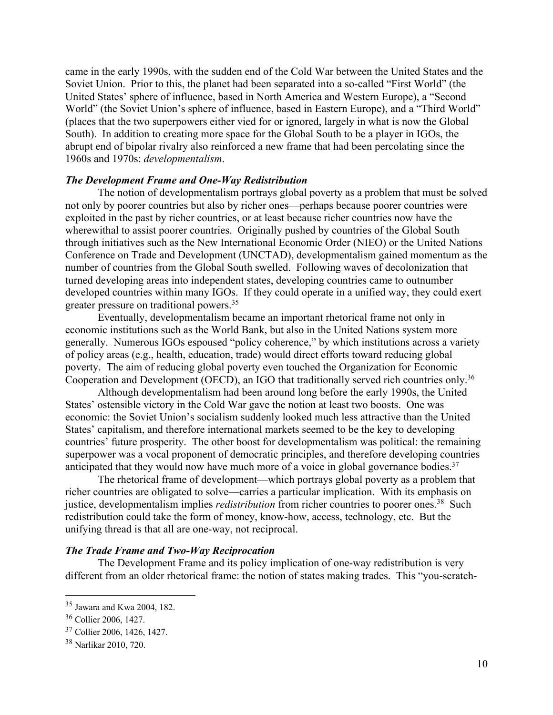came in the early 1990s, with the sudden end of the Cold War between the United States and the Soviet Union. Prior to this, the planet had been separated into a so-called "First World" (the United States' sphere of influence, based in North America and Western Europe), a "Second World" (the Soviet Union's sphere of influence, based in Eastern Europe), and a "Third World" (places that the two superpowers either vied for or ignored, largely in what is now the Global South). In addition to creating more space for the Global South to be a player in IGOs, the abrupt end of bipolar rivalry also reinforced a new frame that had been percolating since the 1960s and 1970s: *developmentalism*.

## *The Development Frame and One-Way Redistribution*

The notion of developmentalism portrays global poverty as a problem that must be solved not only by poorer countries but also by richer ones—perhaps because poorer countries were exploited in the past by richer countries, or at least because richer countries now have the wherewithal to assist poorer countries. Originally pushed by countries of the Global South through initiatives such as the New International Economic Order (NIEO) or the United Nations Conference on Trade and Development (UNCTAD), developmentalism gained momentum as the number of countries from the Global South swelled. Following waves of decolonization that turned developing areas into independent states, developing countries came to outnumber developed countries within many IGOs. If they could operate in a unified way, they could exert greater pressure on traditional powers.35

Eventually, developmentalism became an important rhetorical frame not only in economic institutions such as the World Bank, but also in the United Nations system more generally. Numerous IGOs espoused "policy coherence," by which institutions across a variety of policy areas (e.g., health, education, trade) would direct efforts toward reducing global poverty. The aim of reducing global poverty even touched the Organization for Economic Cooperation and Development (OECD), an IGO that traditionally served rich countries only.36

Although developmentalism had been around long before the early 1990s, the United States' ostensible victory in the Cold War gave the notion at least two boosts. One was economic: the Soviet Union's socialism suddenly looked much less attractive than the United States' capitalism, and therefore international markets seemed to be the key to developing countries' future prosperity. The other boost for developmentalism was political: the remaining superpower was a vocal proponent of democratic principles, and therefore developing countries anticipated that they would now have much more of a voice in global governance bodies.<sup>37</sup>

The rhetorical frame of development—which portrays global poverty as a problem that richer countries are obligated to solve—carries a particular implication. With its emphasis on justice, developmentalism implies *redistribution* from richer countries to poorer ones.<sup>38</sup> Such redistribution could take the form of money, know-how, access, technology, etc. But the unifying thread is that all are one-way, not reciprocal.

## *The Trade Frame and Two-Way Reciprocation*

The Development Frame and its policy implication of one-way redistribution is very different from an older rhetorical frame: the notion of states making trades. This "you-scratch-

<sup>35</sup> Jawara and Kwa 2004, 182.

<sup>36</sup> Collier 2006, 1427.

<sup>37</sup> Collier 2006, 1426, 1427.

<sup>38</sup> Narlikar 2010, 720.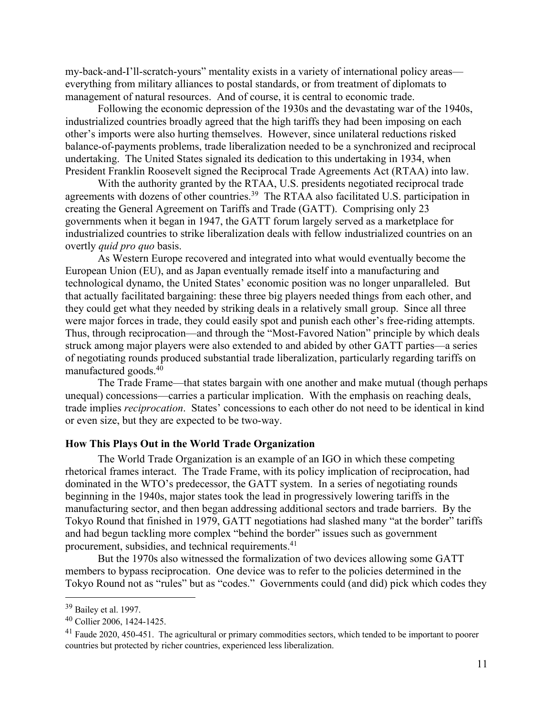my-back-and-I'll-scratch-yours" mentality exists in a variety of international policy areas everything from military alliances to postal standards, or from treatment of diplomats to management of natural resources. And of course, it is central to economic trade.

Following the economic depression of the 1930s and the devastating war of the 1940s, industrialized countries broadly agreed that the high tariffs they had been imposing on each other's imports were also hurting themselves. However, since unilateral reductions risked balance-of-payments problems, trade liberalization needed to be a synchronized and reciprocal undertaking. The United States signaled its dedication to this undertaking in 1934, when President Franklin Roosevelt signed the Reciprocal Trade Agreements Act (RTAA) into law.

With the authority granted by the RTAA, U.S. presidents negotiated reciprocal trade agreements with dozens of other countries.<sup>39</sup> The RTAA also facilitated U.S. participation in creating the General Agreement on Tariffs and Trade (GATT). Comprising only 23 governments when it began in 1947, the GATT forum largely served as a marketplace for industrialized countries to strike liberalization deals with fellow industrialized countries on an overtly *quid pro quo* basis.

As Western Europe recovered and integrated into what would eventually become the European Union (EU), and as Japan eventually remade itself into a manufacturing and technological dynamo, the United States' economic position was no longer unparalleled. But that actually facilitated bargaining: these three big players needed things from each other, and they could get what they needed by striking deals in a relatively small group. Since all three were major forces in trade, they could easily spot and punish each other's free-riding attempts. Thus, through reciprocation—and through the "Most-Favored Nation" principle by which deals struck among major players were also extended to and abided by other GATT parties—a series of negotiating rounds produced substantial trade liberalization, particularly regarding tariffs on manufactured goods.40

The Trade Frame—that states bargain with one another and make mutual (though perhaps unequal) concessions—carries a particular implication. With the emphasis on reaching deals, trade implies *reciprocation*. States' concessions to each other do not need to be identical in kind or even size, but they are expected to be two-way.

## **How This Plays Out in the World Trade Organization**

The World Trade Organization is an example of an IGO in which these competing rhetorical frames interact. The Trade Frame, with its policy implication of reciprocation, had dominated in the WTO's predecessor, the GATT system. In a series of negotiating rounds beginning in the 1940s, major states took the lead in progressively lowering tariffs in the manufacturing sector, and then began addressing additional sectors and trade barriers. By the Tokyo Round that finished in 1979, GATT negotiations had slashed many "at the border" tariffs and had begun tackling more complex "behind the border" issues such as government procurement, subsidies, and technical requirements.41

But the 1970s also witnessed the formalization of two devices allowing some GATT members to bypass reciprocation. One device was to refer to the policies determined in the Tokyo Round not as "rules" but as "codes." Governments could (and did) pick which codes they

<sup>39</sup> Bailey et al. 1997.

<sup>40</sup> Collier 2006, 1424-1425.

<sup>&</sup>lt;sup>41</sup> Faude 2020, 450-451. The agricultural or primary commodities sectors, which tended to be important to poorer countries but protected by richer countries, experienced less liberalization.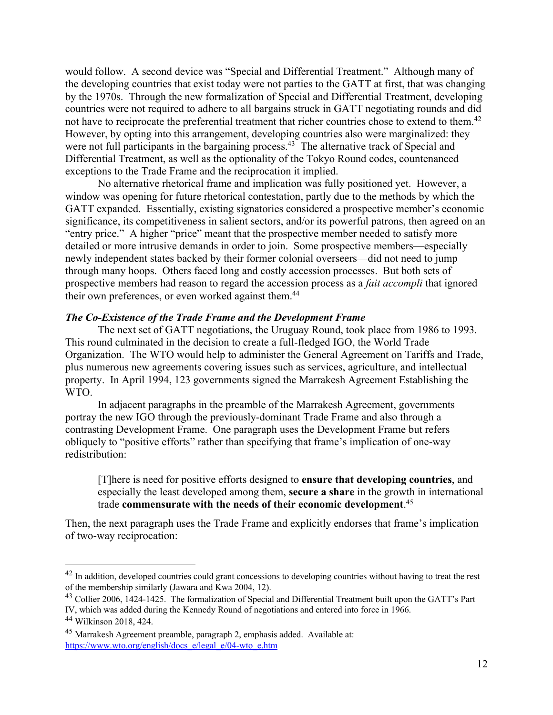would follow. A second device was "Special and Differential Treatment." Although many of the developing countries that exist today were not parties to the GATT at first, that was changing by the 1970s. Through the new formalization of Special and Differential Treatment, developing countries were not required to adhere to all bargains struck in GATT negotiating rounds and did not have to reciprocate the preferential treatment that richer countries chose to extend to them.<sup>42</sup> However, by opting into this arrangement, developing countries also were marginalized: they were not full participants in the bargaining process.<sup>43</sup> The alternative track of Special and Differential Treatment, as well as the optionality of the Tokyo Round codes, countenanced exceptions to the Trade Frame and the reciprocation it implied.

No alternative rhetorical frame and implication was fully positioned yet. However, a window was opening for future rhetorical contestation, partly due to the methods by which the GATT expanded. Essentially, existing signatories considered a prospective member's economic significance, its competitiveness in salient sectors, and/or its powerful patrons, then agreed on an "entry price." A higher "price" meant that the prospective member needed to satisfy more detailed or more intrusive demands in order to join. Some prospective members—especially newly independent states backed by their former colonial overseers—did not need to jump through many hoops. Others faced long and costly accession processes. But both sets of prospective members had reason to regard the accession process as a *fait accompli* that ignored their own preferences, or even worked against them.<sup>44</sup>

## *The Co-Existence of the Trade Frame and the Development Frame*

The next set of GATT negotiations, the Uruguay Round, took place from 1986 to 1993. This round culminated in the decision to create a full-fledged IGO, the World Trade Organization. The WTO would help to administer the General Agreement on Tariffs and Trade, plus numerous new agreements covering issues such as services, agriculture, and intellectual property. In April 1994, 123 governments signed the Marrakesh Agreement Establishing the WTO.

In adjacent paragraphs in the preamble of the Marrakesh Agreement, governments portray the new IGO through the previously-dominant Trade Frame and also through a contrasting Development Frame. One paragraph uses the Development Frame but refers obliquely to "positive efforts" rather than specifying that frame's implication of one-way redistribution:

[T]here is need for positive efforts designed to **ensure that developing countries**, and especially the least developed among them, **secure a share** in the growth in international trade **commensurate with the needs of their economic development**. 45

Then, the next paragraph uses the Trade Frame and explicitly endorses that frame's implication of two-way reciprocation:

<sup>&</sup>lt;sup>42</sup> In addition, developed countries could grant concessions to developing countries without having to treat the rest of the membership similarly (Jawara and Kwa 2004, 12).

<sup>&</sup>lt;sup>43</sup> Collier 2006, 1424-1425. The formalization of Special and Differential Treatment built upon the GATT's Part IV, which was added during the Kennedy Round of negotiations and entered into force in 1966.

<sup>44</sup> Wilkinson 2018, 424.

<sup>45</sup> Marrakesh Agreement preamble, paragraph 2, emphasis added. Available at: https://www.wto.org/english/docs\_e/legal\_e/04-wto\_e.htm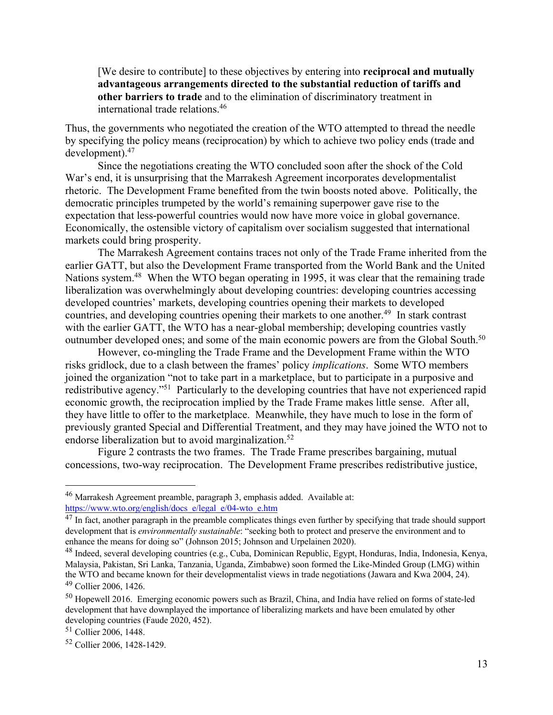[We desire to contribute] to these objectives by entering into **reciprocal and mutually advantageous arrangements directed to the substantial reduction of tariffs and other barriers to trade** and to the elimination of discriminatory treatment in international trade relations.46

Thus, the governments who negotiated the creation of the WTO attempted to thread the needle by specifying the policy means (reciprocation) by which to achieve two policy ends (trade and development).47

Since the negotiations creating the WTO concluded soon after the shock of the Cold War's end, it is unsurprising that the Marrakesh Agreement incorporates developmentalist rhetoric. The Development Frame benefited from the twin boosts noted above. Politically, the democratic principles trumpeted by the world's remaining superpower gave rise to the expectation that less-powerful countries would now have more voice in global governance. Economically, the ostensible victory of capitalism over socialism suggested that international markets could bring prosperity.

The Marrakesh Agreement contains traces not only of the Trade Frame inherited from the earlier GATT, but also the Development Frame transported from the World Bank and the United Nations system.<sup>48</sup> When the WTO began operating in 1995, it was clear that the remaining trade liberalization was overwhelmingly about developing countries: developing countries accessing developed countries' markets, developing countries opening their markets to developed countries, and developing countries opening their markets to one another.<sup>49</sup> In stark contrast with the earlier GATT, the WTO has a near-global membership; developing countries vastly outnumber developed ones; and some of the main economic powers are from the Global South.<sup>50</sup>

However, co-mingling the Trade Frame and the Development Frame within the WTO risks gridlock, due to a clash between the frames' policy *implications*. Some WTO members joined the organization "not to take part in a marketplace, but to participate in a purposive and redistributive agency."51 Particularly to the developing countries that have not experienced rapid economic growth, the reciprocation implied by the Trade Frame makes little sense. After all, they have little to offer to the marketplace. Meanwhile, they have much to lose in the form of previously granted Special and Differential Treatment, and they may have joined the WTO not to endorse liberalization but to avoid marginalization.<sup>52</sup>

Figure 2 contrasts the two frames. The Trade Frame prescribes bargaining, mutual concessions, two-way reciprocation. The Development Frame prescribes redistributive justice,

<sup>46</sup> Marrakesh Agreement preamble, paragraph 3, emphasis added. Available at: https://www.wto.org/english/docs\_e/legal\_e/04-wto\_e.htm

<sup>&</sup>lt;sup>47</sup> In fact, another paragraph in the preamble complicates things even further by specifying that trade should support development that is *environmentally sustainable*: "seeking both to protect and preserve the environment and to enhance the means for doing so" (Johnson 2015; Johnson and Urpelainen 2020).

<sup>48</sup> Indeed, several developing countries (e.g., Cuba, Dominican Republic, Egypt, Honduras, India, Indonesia, Kenya, Malaysia, Pakistan, Sri Lanka, Tanzania, Uganda, Zimbabwe) soon formed the Like-Minded Group (LMG) within the WTO and became known for their developmentalist views in trade negotiations (Jawara and Kwa 2004, 24). <sup>49</sup> Collier 2006, 1426.

<sup>50</sup> Hopewell 2016. Emerging economic powers such as Brazil, China, and India have relied on forms of state-led development that have downplayed the importance of liberalizing markets and have been emulated by other developing countries (Faude 2020, 452).

<sup>51</sup> Collier 2006, 1448.

<sup>52</sup> Collier 2006, 1428-1429.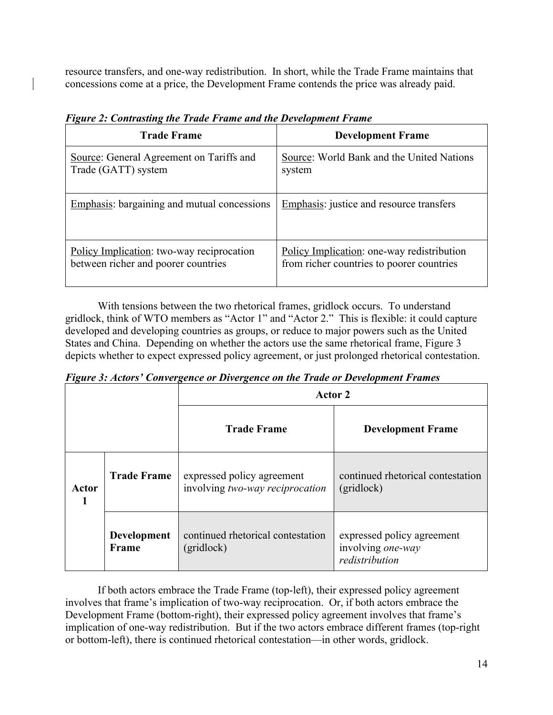resource transfers, and one-way redistribution. In short, while the Trade Frame maintains that concessions come at a price, the Development Frame contends the price was already paid.

| <b>Trade Frame</b>                          | <b>Development Frame</b>                        |
|---------------------------------------------|-------------------------------------------------|
| Source: General Agreement on Tariffs and    | Source: World Bank and the United Nations       |
| Trade (GATT) system                         | system                                          |
| Emphasis: bargaining and mutual concessions | <b>Emphasis:</b> justice and resource transfers |
| Policy Implication: two-way reciprocation   | Policy Implication: one-way redistribution      |
| between richer and poorer countries         | from richer countries to poorer countries       |

*Figure 2: Contrasting the Trade Frame and the Development Frame*

With tensions between the two rhetorical frames, gridlock occurs. To understand gridlock, think of WTO members as "Actor 1" and "Actor 2." This is flexible: it could capture developed and developing countries as groups, or reduce to major powers such as the United States and China. Depending on whether the actors use the same rhetorical frame, Figure 3 depicts whether to expect expressed policy agreement, or just prolonged rhetorical contestation.

*Figure 3: Actors' Convergence or Divergence on the Trade or Development Frames*

| $\mathbf{\Omega}$ |                             | $\sigma$<br>Actor 2                                           |                                                                   |  |  |
|-------------------|-----------------------------|---------------------------------------------------------------|-------------------------------------------------------------------|--|--|
|                   |                             | <b>Trade Frame</b>                                            | <b>Development Frame</b>                                          |  |  |
| Actor<br>1        | <b>Trade Frame</b>          | expressed policy agreement<br>involving two-way reciprocation | continued rhetorical contestation<br>(gridlock)                   |  |  |
|                   | <b>Development</b><br>Frame | continued rhetorical contestation<br>(gridlock)               | expressed policy agreement<br>involving one-way<br>redistribution |  |  |

If both actors embrace the Trade Frame (top-left), their expressed policy agreement involves that frame's implication of two-way reciprocation. Or, if both actors embrace the Development Frame (bottom-right), their expressed policy agreement involves that frame's implication of one-way redistribution. But if the two actors embrace different frames (top-right or bottom-left), there is continued rhetorical contestation—in other words, gridlock.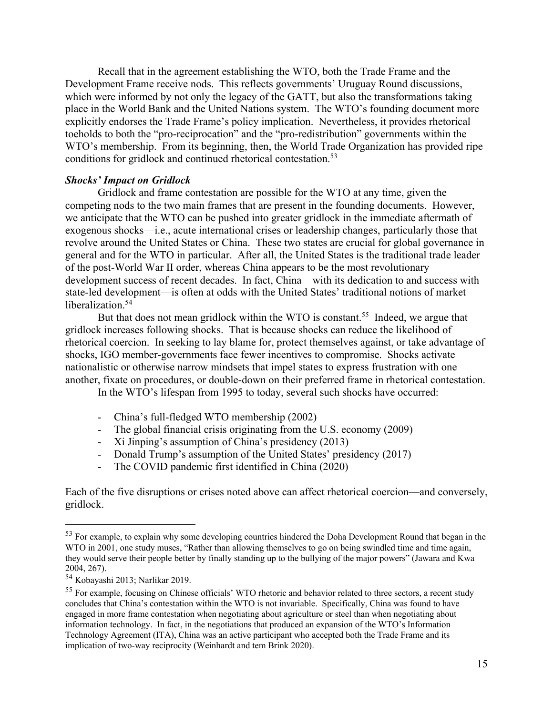Recall that in the agreement establishing the WTO, both the Trade Frame and the Development Frame receive nods. This reflects governments' Uruguay Round discussions, which were informed by not only the legacy of the GATT, but also the transformations taking place in the World Bank and the United Nations system. The WTO's founding document more explicitly endorses the Trade Frame's policy implication. Nevertheless, it provides rhetorical toeholds to both the "pro-reciprocation" and the "pro-redistribution" governments within the WTO's membership. From its beginning, then, the World Trade Organization has provided ripe conditions for gridlock and continued rhetorical contestation.<sup>53</sup>

#### *Shocks' Impact on Gridlock*

Gridlock and frame contestation are possible for the WTO at any time, given the competing nods to the two main frames that are present in the founding documents. However, we anticipate that the WTO can be pushed into greater gridlock in the immediate aftermath of exogenous shocks—i.e., acute international crises or leadership changes, particularly those that revolve around the United States or China. These two states are crucial for global governance in general and for the WTO in particular. After all, the United States is the traditional trade leader of the post-World War II order, whereas China appears to be the most revolutionary development success of recent decades. In fact, China—with its dedication to and success with state-led development—is often at odds with the United States' traditional notions of market liberalization.<sup>54</sup>

But that does not mean gridlock within the WTO is constant.<sup>55</sup> Indeed, we argue that gridlock increases following shocks. That is because shocks can reduce the likelihood of rhetorical coercion. In seeking to lay blame for, protect themselves against, or take advantage of shocks, IGO member-governments face fewer incentives to compromise. Shocks activate nationalistic or otherwise narrow mindsets that impel states to express frustration with one another, fixate on procedures, or double-down on their preferred frame in rhetorical contestation.

In the WTO's lifespan from 1995 to today, several such shocks have occurred:

- China's full-fledged WTO membership (2002)
- The global financial crisis originating from the U.S. economy (2009)
- Xi Jinping's assumption of China's presidency (2013)
- Donald Trump's assumption of the United States' presidency (2017)
- The COVID pandemic first identified in China (2020)

Each of the five disruptions or crises noted above can affect rhetorical coercion—and conversely, gridlock.

<sup>&</sup>lt;sup>53</sup> For example, to explain why some developing countries hindered the Doha Development Round that began in the WTO in 2001, one study muses, "Rather than allowing themselves to go on being swindled time and time again, they would serve their people better by finally standing up to the bullying of the major powers" (Jawara and Kwa 2004, 267).

<sup>54</sup> Kobayashi 2013; Narlikar 2019.

<sup>&</sup>lt;sup>55</sup> For example, focusing on Chinese officials' WTO rhetoric and behavior related to three sectors, a recent study concludes that China's contestation within the WTO is not invariable. Specifically, China was found to have engaged in more frame contestation when negotiating about agriculture or steel than when negotiating about information technology. In fact, in the negotiations that produced an expansion of the WTO's Information Technology Agreement (ITA), China was an active participant who accepted both the Trade Frame and its implication of two-way reciprocity (Weinhardt and tem Brink 2020).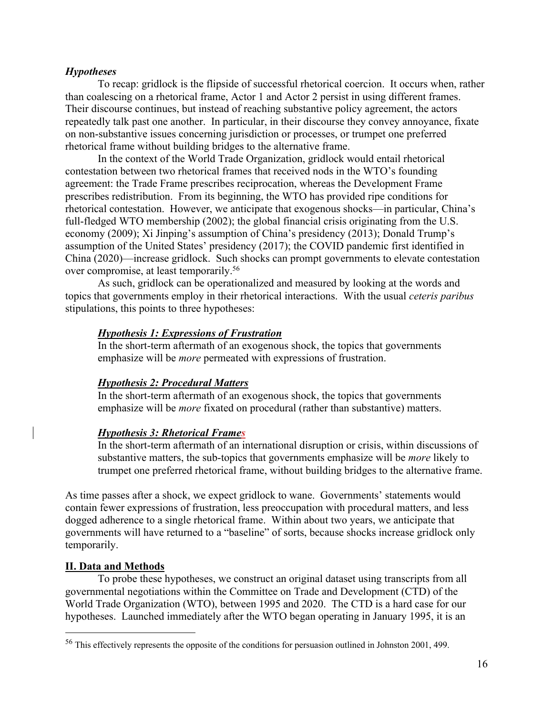## *Hypotheses*

To recap: gridlock is the flipside of successful rhetorical coercion. It occurs when, rather than coalescing on a rhetorical frame, Actor 1 and Actor 2 persist in using different frames. Their discourse continues, but instead of reaching substantive policy agreement, the actors repeatedly talk past one another. In particular, in their discourse they convey annoyance, fixate on non-substantive issues concerning jurisdiction or processes, or trumpet one preferred rhetorical frame without building bridges to the alternative frame.

In the context of the World Trade Organization, gridlock would entail rhetorical contestation between two rhetorical frames that received nods in the WTO's founding agreement: the Trade Frame prescribes reciprocation, whereas the Development Frame prescribes redistribution. From its beginning, the WTO has provided ripe conditions for rhetorical contestation. However, we anticipate that exogenous shocks—in particular, China's full-fledged WTO membership (2002); the global financial crisis originating from the U.S. economy (2009); Xi Jinping's assumption of China's presidency (2013); Donald Trump's assumption of the United States' presidency (2017); the COVID pandemic first identified in China (2020)—increase gridlock. Such shocks can prompt governments to elevate contestation over compromise, at least temporarily.<sup>56</sup>

As such, gridlock can be operationalized and measured by looking at the words and topics that governments employ in their rhetorical interactions. With the usual *ceteris paribus* stipulations, this points to three hypotheses:

## *Hypothesis 1: Expressions of Frustration*

In the short-term aftermath of an exogenous shock, the topics that governments emphasize will be *more* permeated with expressions of frustration.

## *Hypothesis 2: Procedural Matters*

In the short-term aftermath of an exogenous shock, the topics that governments emphasize will be *more* fixated on procedural (rather than substantive) matters.

## *Hypothesis 3: Rhetorical Frames*

In the short-term aftermath of an international disruption or crisis, within discussions of substantive matters, the sub-topics that governments emphasize will be *more* likely to trumpet one preferred rhetorical frame, without building bridges to the alternative frame.

As time passes after a shock, we expect gridlock to wane. Governments' statements would contain fewer expressions of frustration, less preoccupation with procedural matters, and less dogged adherence to a single rhetorical frame. Within about two years, we anticipate that governments will have returned to a "baseline" of sorts, because shocks increase gridlock only temporarily.

## **II. Data and Methods**

To probe these hypotheses, we construct an original dataset using transcripts from all governmental negotiations within the Committee on Trade and Development (CTD) of the World Trade Organization (WTO), between 1995 and 2020. The CTD is a hard case for our hypotheses. Launched immediately after the WTO began operating in January 1995, it is an

<sup>56</sup> This effectively represents the opposite of the conditions for persuasion outlined in Johnston 2001, 499.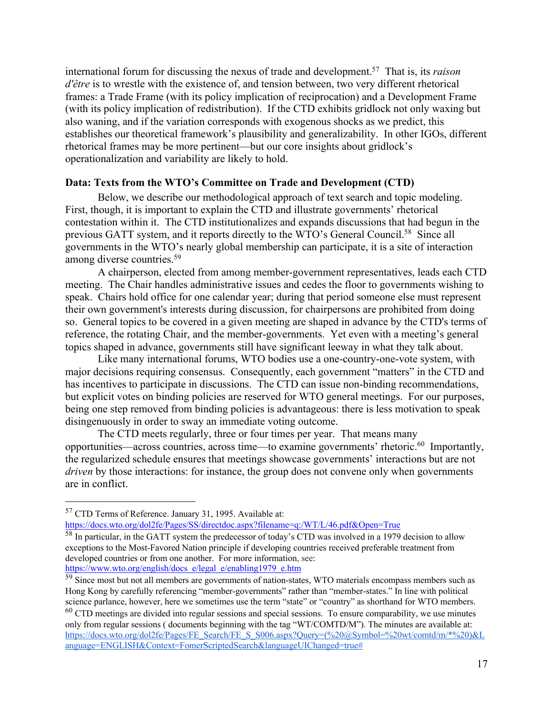international forum for discussing the nexus of trade and development.57 That is, its *raison d'être* is to wrestle with the existence of, and tension between, two very different rhetorical frames: a Trade Frame (with its policy implication of reciprocation) and a Development Frame (with its policy implication of redistribution). If the CTD exhibits gridlock not only waxing but also waning, and if the variation corresponds with exogenous shocks as we predict, this establishes our theoretical framework's plausibility and generalizability. In other IGOs, different rhetorical frames may be more pertinent—but our core insights about gridlock's operationalization and variability are likely to hold.

## **Data: Texts from the WTO's Committee on Trade and Development (CTD)**

Below, we describe our methodological approach of text search and topic modeling. First, though, it is important to explain the CTD and illustrate governments' rhetorical contestation within it. The CTD institutionalizes and expands discussions that had begun in the previous GATT system, and it reports directly to the WTO's General Council.<sup>58</sup> Since all governments in the WTO's nearly global membership can participate, it is a site of interaction among diverse countries.59

A chairperson, elected from among member-government representatives, leads each CTD meeting. The Chair handles administrative issues and cedes the floor to governments wishing to speak. Chairs hold office for one calendar year; during that period someone else must represent their own government's interests during discussion, for chairpersons are prohibited from doing so. General topics to be covered in a given meeting are shaped in advance by the CTD's terms of reference, the rotating Chair, and the member-governments. Yet even with a meeting's general topics shaped in advance, governments still have significant leeway in what they talk about.

Like many international forums, WTO bodies use a one-country-one-vote system, with major decisions requiring consensus. Consequently, each government "matters" in the CTD and has incentives to participate in discussions. The CTD can issue non-binding recommendations, but explicit votes on binding policies are reserved for WTO general meetings. For our purposes, being one step removed from binding policies is advantageous: there is less motivation to speak disingenuously in order to sway an immediate voting outcome.

The CTD meets regularly, three or four times per year. That means many opportunities—across countries, across time—to examine governments' rhetoric.60 Importantly, the regularized schedule ensures that meetings showcase governments' interactions but are not *driven* by those interactions: for instance, the group does not convene only when governments are in conflict.

https://docs.wto.org/dol2fe/Pages/SS/directdoc.aspx?filename=q:/WT/L/46.pdf&Open=True

<sup>57</sup> CTD Terms of Reference. January 31, 1995. Available at:

<sup>&</sup>lt;sup>58</sup> In particular, in the GATT system the predecessor of today's CTD was involved in a 1979 decision to allow exceptions to the Most-Favored Nation principle if developing countries received preferable treatment from developed countries or from one another. For more information, see: https://www.wto.org/english/docs\_e/legal\_e/enabling1979\_e.htm

<sup>&</sup>lt;sup>59</sup> Since most but not all members are governments of nation-states, WTO materials encompass members such as Hong Kong by carefully referencing "member-governments" rather than "member-states." In line with political science parlance, however, here we sometimes use the term "state" or "country" as shorthand for WTO members.

 $60$  CTD meetings are divided into regular sessions and special sessions. To ensure comparability, we use minutes only from regular sessions ( documents beginning with the tag "WT/COMTD/M"). The minutes are available at: https://docs.wto.org/dol2fe/Pages/FE\_Search/FE\_S\_S006.aspx?Query=(%20@Symbol=%20wt/comtd/m/\*%20)&L anguage=ENGLISH&Context=FomerScriptedSearch&languageUIChanged=true#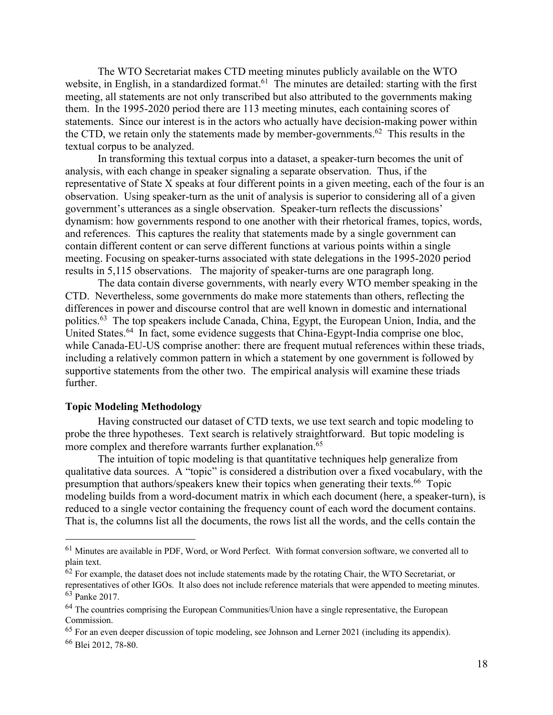The WTO Secretariat makes CTD meeting minutes publicly available on the WTO website, in English, in a standardized format.<sup>61</sup> The minutes are detailed: starting with the first meeting, all statements are not only transcribed but also attributed to the governments making them. In the 1995-2020 period there are 113 meeting minutes, each containing scores of statements. Since our interest is in the actors who actually have decision-making power within the CTD, we retain only the statements made by member-governments.<sup>62</sup> This results in the textual corpus to be analyzed.

In transforming this textual corpus into a dataset, a speaker-turn becomes the unit of analysis, with each change in speaker signaling a separate observation. Thus, if the representative of State X speaks at four different points in a given meeting, each of the four is an observation. Using speaker-turn as the unit of analysis is superior to considering all of a given government's utterances as a single observation. Speaker-turn reflects the discussions' dynamism: how governments respond to one another with their rhetorical frames, topics, words, and references. This captures the reality that statements made by a single government can contain different content or can serve different functions at various points within a single meeting. Focusing on speaker-turns associated with state delegations in the 1995-2020 period results in 5,115 observations. The majority of speaker-turns are one paragraph long.

The data contain diverse governments, with nearly every WTO member speaking in the CTD. Nevertheless, some governments do make more statements than others, reflecting the differences in power and discourse control that are well known in domestic and international politics.<sup>63</sup> The top speakers include Canada, China, Egypt, the European Union, India, and the United States.<sup>64</sup> In fact, some evidence suggests that China-Egypt-India comprise one bloc, while Canada-EU-US comprise another: there are frequent mutual references within these triads, including a relatively common pattern in which a statement by one government is followed by supportive statements from the other two. The empirical analysis will examine these triads further.

## **Topic Modeling Methodology**

Having constructed our dataset of CTD texts, we use text search and topic modeling to probe the three hypotheses. Text search is relatively straightforward. But topic modeling is more complex and therefore warrants further explanation.<sup>65</sup>

The intuition of topic modeling is that quantitative techniques help generalize from qualitative data sources. A "topic" is considered a distribution over a fixed vocabulary, with the presumption that authors/speakers knew their topics when generating their texts.<sup>66</sup> Topic modeling builds from a word-document matrix in which each document (here, a speaker-turn), is reduced to a single vector containing the frequency count of each word the document contains. That is, the columns list all the documents, the rows list all the words, and the cells contain the

<sup>61</sup> Minutes are available in PDF, Word, or Word Perfect. With format conversion software, we converted all to plain text.

 $62$  For example, the dataset does not include statements made by the rotating Chair, the WTO Secretariat, or representatives of other IGOs. It also does not include reference materials that were appended to meeting minutes. <sup>63</sup> Panke 2017.

 $64$  The countries comprising the European Communities/Union have a single representative, the European Commission.

<sup>65</sup> For an even deeper discussion of topic modeling, see Johnson and Lerner 2021 (including its appendix).

<sup>66</sup> Blei 2012, 78-80.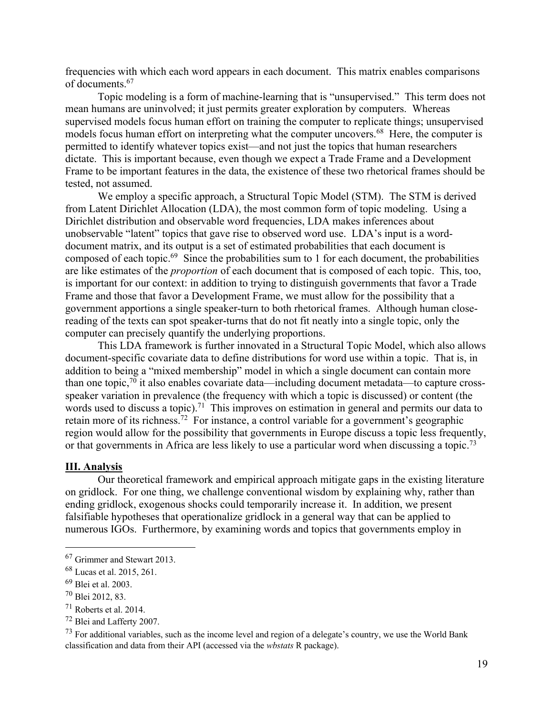frequencies with which each word appears in each document. This matrix enables comparisons of documents.67

Topic modeling is a form of machine-learning that is "unsupervised." This term does not mean humans are uninvolved; it just permits greater exploration by computers. Whereas supervised models focus human effort on training the computer to replicate things; unsupervised models focus human effort on interpreting what the computer uncovers.<sup>68</sup> Here, the computer is permitted to identify whatever topics exist—and not just the topics that human researchers dictate. This is important because, even though we expect a Trade Frame and a Development Frame to be important features in the data, the existence of these two rhetorical frames should be tested, not assumed.

We employ a specific approach, a Structural Topic Model (STM). The STM is derived from Latent Dirichlet Allocation (LDA), the most common form of topic modeling. Using a Dirichlet distribution and observable word frequencies, LDA makes inferences about unobservable "latent" topics that gave rise to observed word use. LDA's input is a worddocument matrix, and its output is a set of estimated probabilities that each document is composed of each topic.<sup>69</sup> Since the probabilities sum to 1 for each document, the probabilities are like estimates of the *proportion* of each document that is composed of each topic. This, too, is important for our context: in addition to trying to distinguish governments that favor a Trade Frame and those that favor a Development Frame, we must allow for the possibility that a government apportions a single speaker-turn to both rhetorical frames. Although human closereading of the texts can spot speaker-turns that do not fit neatly into a single topic, only the computer can precisely quantify the underlying proportions.

This LDA framework is further innovated in a Structural Topic Model, which also allows document-specific covariate data to define distributions for word use within a topic. That is, in addition to being a "mixed membership" model in which a single document can contain more than one topic, $70$  it also enables covariate data—including document metadata—to capture crossspeaker variation in prevalence (the frequency with which a topic is discussed) or content (the words used to discuss a topic).<sup>71</sup> This improves on estimation in general and permits our data to retain more of its richness.72 For instance, a control variable for a government's geographic region would allow for the possibility that governments in Europe discuss a topic less frequently, or that governments in Africa are less likely to use a particular word when discussing a topic.<sup>73</sup>

## **III. Analysis**

Our theoretical framework and empirical approach mitigate gaps in the existing literature on gridlock. For one thing, we challenge conventional wisdom by explaining why, rather than ending gridlock, exogenous shocks could temporarily increase it. In addition, we present falsifiable hypotheses that operationalize gridlock in a general way that can be applied to numerous IGOs. Furthermore, by examining words and topics that governments employ in

<sup>67</sup> Grimmer and Stewart 2013.

<sup>68</sup> Lucas et al. 2015, 261.

<sup>69</sup> Blei et al. 2003.

<sup>70</sup> Blei 2012, 83.

<sup>71</sup> Roberts et al. 2014.

<sup>72</sup> Blei and Lafferty 2007.

 $^{73}$  For additional variables, such as the income level and region of a delegate's country, we use the World Bank classification and data from their API (accessed via the *wbstats* R package).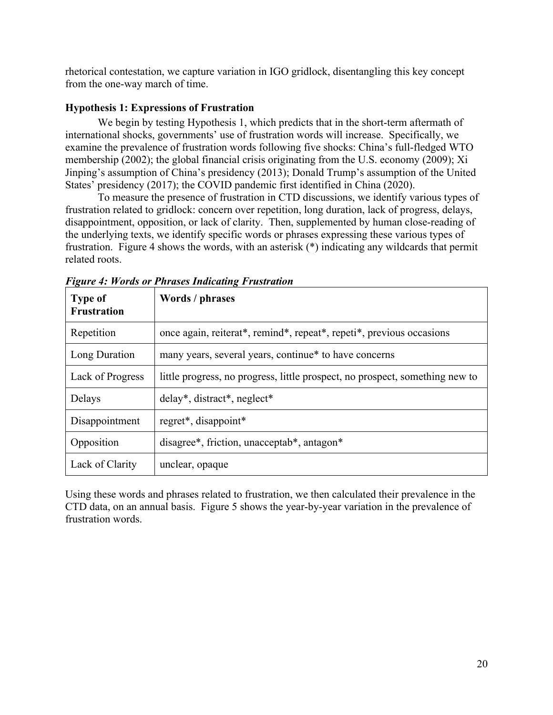rhetorical contestation, we capture variation in IGO gridlock, disentangling this key concept from the one-way march of time.

# **Hypothesis 1: Expressions of Frustration**

We begin by testing Hypothesis 1, which predicts that in the short-term aftermath of international shocks, governments' use of frustration words will increase. Specifically, we examine the prevalence of frustration words following five shocks: China's full-fledged WTO membership (2002); the global financial crisis originating from the U.S. economy (2009); Xi Jinping's assumption of China's presidency (2013); Donald Trump's assumption of the United States' presidency (2017); the COVID pandemic first identified in China (2020).

To measure the presence of frustration in CTD discussions, we identify various types of frustration related to gridlock: concern over repetition, long duration, lack of progress, delays, disappointment, opposition, or lack of clarity. Then, supplemented by human close-reading of the underlying texts, we identify specific words or phrases expressing these various types of frustration. Figure 4 shows the words, with an asterisk (\*) indicating any wildcards that permit related roots.

| <b>Type of</b><br><b>Frustration</b> | Words / phrases                                                              |  |
|--------------------------------------|------------------------------------------------------------------------------|--|
| Repetition                           | once again, reiterat*, remind*, repeat*, repeti*, previous occasions         |  |
| Long Duration                        | many years, several years, continue* to have concerns                        |  |
| Lack of Progress                     | little progress, no progress, little prospect, no prospect, something new to |  |
| Delays                               | delay*, distract*, neglect*                                                  |  |
| Disappointment                       | regret*, disappoint*                                                         |  |
| Opposition                           | disagree*, friction, unacceptab*, antagon*                                   |  |
| Lack of Clarity                      | unclear, opaque                                                              |  |

*Figure 4: Words or Phrases Indicating Frustration*

Using these words and phrases related to frustration, we then calculated their prevalence in the CTD data, on an annual basis. Figure 5 shows the year-by-year variation in the prevalence of frustration words.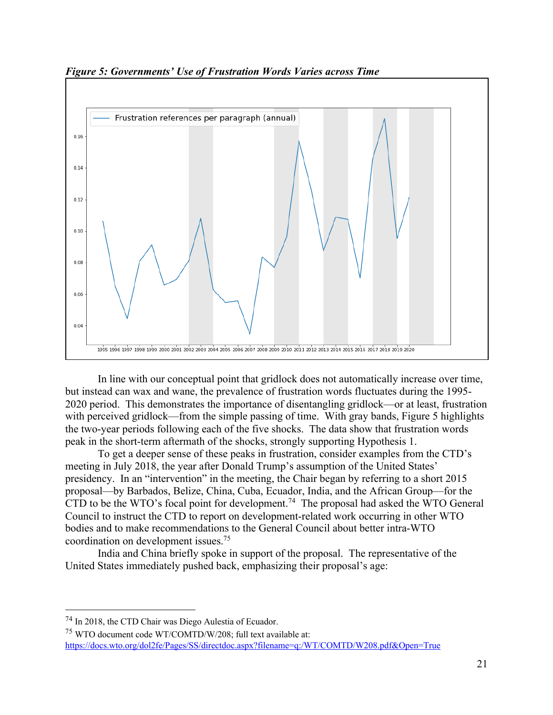

*Figure 5: Governments' Use of Frustration Words Varies across Time*

In line with our conceptual point that gridlock does not automatically increase over time, but instead can wax and wane, the prevalence of frustration words fluctuates during the 1995- 2020 period. This demonstrates the importance of disentangling gridlock—or at least, frustration with perceived gridlock—from the simple passing of time. With gray bands, Figure 5 highlights the two-year periods following each of the five shocks. The data show that frustration words peak in the short-term aftermath of the shocks, strongly supporting Hypothesis 1.

To get a deeper sense of these peaks in frustration, consider examples from the CTD's meeting in July 2018, the year after Donald Trump's assumption of the United States' presidency. In an "intervention" in the meeting, the Chair began by referring to a short 2015 proposal—by Barbados, Belize, China, Cuba, Ecuador, India, and the African Group—for the CTD to be the WTO's focal point for development.<sup>74</sup> The proposal had asked the WTO General Council to instruct the CTD to report on development-related work occurring in other WTO bodies and to make recommendations to the General Council about better intra-WTO coordination on development issues.75

India and China briefly spoke in support of the proposal. The representative of the United States immediately pushed back, emphasizing their proposal's age:

<sup>74</sup> In 2018, the CTD Chair was Diego Aulestia of Ecuador.

<sup>75</sup> WTO document code WT/COMTD/W/208; full text available at: https://docs.wto.org/dol2fe/Pages/SS/directdoc.aspx?filename=q:/WT/COMTD/W208.pdf&Open=True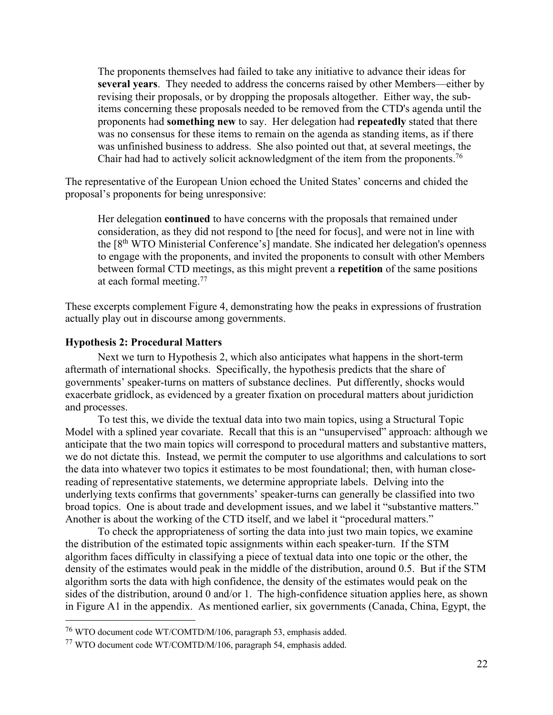The proponents themselves had failed to take any initiative to advance their ideas for **several years**. They needed to address the concerns raised by other Members—either by revising their proposals, or by dropping the proposals altogether. Either way, the subitems concerning these proposals needed to be removed from the CTD's agenda until the proponents had **something new** to say. Her delegation had **repeatedly** stated that there was no consensus for these items to remain on the agenda as standing items, as if there was unfinished business to address. She also pointed out that, at several meetings, the Chair had had to actively solicit acknowledgment of the item from the proponents.<sup>76</sup>

The representative of the European Union echoed the United States' concerns and chided the proposal's proponents for being unresponsive:

Her delegation **continued** to have concerns with the proposals that remained under consideration, as they did not respond to [the need for focus], and were not in line with the [8<sup>th</sup> WTO Ministerial Conference's] mandate. She indicated her delegation's openness to engage with the proponents, and invited the proponents to consult with other Members between formal CTD meetings, as this might prevent a **repetition** of the same positions at each formal meeting.77

These excerpts complement Figure 4, demonstrating how the peaks in expressions of frustration actually play out in discourse among governments.

## **Hypothesis 2: Procedural Matters**

Next we turn to Hypothesis 2, which also anticipates what happens in the short-term aftermath of international shocks. Specifically, the hypothesis predicts that the share of governments' speaker-turns on matters of substance declines. Put differently, shocks would exacerbate gridlock, as evidenced by a greater fixation on procedural matters about juridiction and processes.

To test this, we divide the textual data into two main topics, using a Structural Topic Model with a splined year covariate. Recall that this is an "unsupervised" approach: although we anticipate that the two main topics will correspond to procedural matters and substantive matters, we do not dictate this. Instead, we permit the computer to use algorithms and calculations to sort the data into whatever two topics it estimates to be most foundational; then, with human closereading of representative statements, we determine appropriate labels. Delving into the underlying texts confirms that governments' speaker-turns can generally be classified into two broad topics. One is about trade and development issues, and we label it "substantive matters." Another is about the working of the CTD itself, and we label it "procedural matters."

To check the appropriateness of sorting the data into just two main topics, we examine the distribution of the estimated topic assignments within each speaker-turn. If the STM algorithm faces difficulty in classifying a piece of textual data into one topic or the other, the density of the estimates would peak in the middle of the distribution, around 0.5. But if the STM algorithm sorts the data with high confidence, the density of the estimates would peak on the sides of the distribution, around 0 and/or 1. The high-confidence situation applies here, as shown in Figure A1 in the appendix. As mentioned earlier, six governments (Canada, China, Egypt, the

<sup>76</sup> WTO document code WT/COMTD/M/106, paragraph 53, emphasis added.

<sup>77</sup> WTO document code WT/COMTD/M/106, paragraph 54, emphasis added.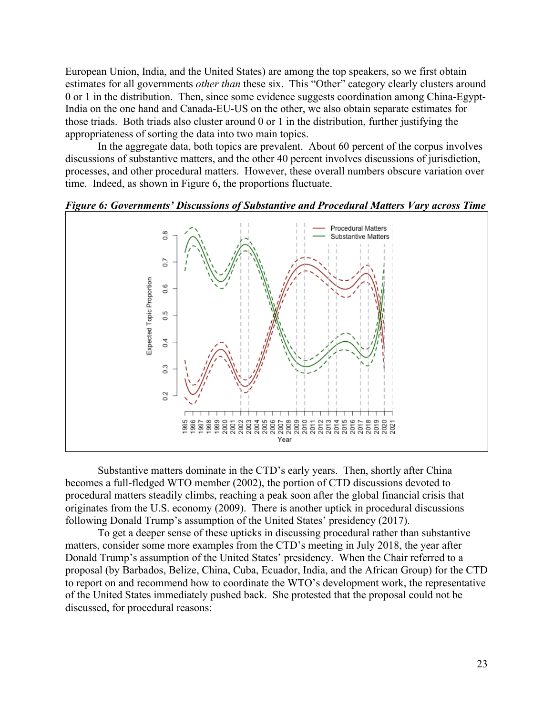European Union, India, and the United States) are among the top speakers, so we first obtain estimates for all governments *other than* these six. This "Other" category clearly clusters around 0 or 1 in the distribution. Then, since some evidence suggests coordination among China-Egypt-India on the one hand and Canada-EU-US on the other, we also obtain separate estimates for those triads. Both triads also cluster around 0 or 1 in the distribution, further justifying the appropriateness of sorting the data into two main topics.

In the aggregate data, both topics are prevalent. About 60 percent of the corpus involves discussions of substantive matters, and the other 40 percent involves discussions of jurisdiction, processes, and other procedural matters. However, these overall numbers obscure variation over time. Indeed, as shown in Figure 6, the proportions fluctuate.





Substantive matters dominate in the CTD's early years. Then, shortly after China becomes a full-fledged WTO member (2002), the portion of CTD discussions devoted to procedural matters steadily climbs, reaching a peak soon after the global financial crisis that originates from the U.S. economy (2009). There is another uptick in procedural discussions following Donald Trump's assumption of the United States' presidency (2017).

To get a deeper sense of these upticks in discussing procedural rather than substantive matters, consider some more examples from the CTD's meeting in July 2018, the year after Donald Trump's assumption of the United States' presidency. When the Chair referred to a proposal (by Barbados, Belize, China, Cuba, Ecuador, India, and the African Group) for the CTD to report on and recommend how to coordinate the WTO's development work, the representative of the United States immediately pushed back. She protested that the proposal could not be discussed, for procedural reasons: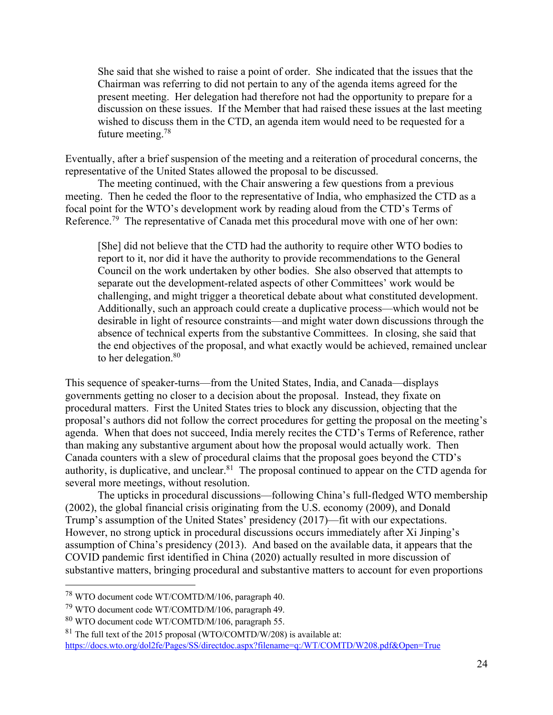She said that she wished to raise a point of order. She indicated that the issues that the Chairman was referring to did not pertain to any of the agenda items agreed for the present meeting. Her delegation had therefore not had the opportunity to prepare for a discussion on these issues. If the Member that had raised these issues at the last meeting wished to discuss them in the CTD, an agenda item would need to be requested for a future meeting.78

Eventually, after a brief suspension of the meeting and a reiteration of procedural concerns, the representative of the United States allowed the proposal to be discussed.

The meeting continued, with the Chair answering a few questions from a previous meeting. Then he ceded the floor to the representative of India, who emphasized the CTD as a focal point for the WTO's development work by reading aloud from the CTD's Terms of Reference.<sup>79</sup> The representative of Canada met this procedural move with one of her own:

[She] did not believe that the CTD had the authority to require other WTO bodies to report to it, nor did it have the authority to provide recommendations to the General Council on the work undertaken by other bodies. She also observed that attempts to separate out the development-related aspects of other Committees' work would be challenging, and might trigger a theoretical debate about what constituted development. Additionally, such an approach could create a duplicative process—which would not be desirable in light of resource constraints—and might water down discussions through the absence of technical experts from the substantive Committees. In closing, she said that the end objectives of the proposal, and what exactly would be achieved, remained unclear to her delegation.<sup>80</sup>

This sequence of speaker-turns—from the United States, India, and Canada—displays governments getting no closer to a decision about the proposal. Instead, they fixate on procedural matters. First the United States tries to block any discussion, objecting that the proposal's authors did not follow the correct procedures for getting the proposal on the meeting's agenda. When that does not succeed, India merely recites the CTD's Terms of Reference, rather than making any substantive argument about how the proposal would actually work. Then Canada counters with a slew of procedural claims that the proposal goes beyond the CTD's authority, is duplicative, and unclear. <sup>81</sup> The proposal continued to appear on the CTD agenda for several more meetings, without resolution.

The upticks in procedural discussions—following China's full-fledged WTO membership (2002), the global financial crisis originating from the U.S. economy (2009), and Donald Trump's assumption of the United States' presidency (2017)—fit with our expectations. However, no strong uptick in procedural discussions occurs immediately after Xi Jinping's assumption of China's presidency (2013). And based on the available data, it appears that the COVID pandemic first identified in China (2020) actually resulted in more discussion of substantive matters, bringing procedural and substantive matters to account for even proportions

<sup>78</sup> WTO document code WT/COMTD/M/106, paragraph 40.

<sup>79</sup> WTO document code WT/COMTD/M/106, paragraph 49.

<sup>80</sup> WTO document code WT/COMTD/M/106, paragraph 55.

 $81$  The full text of the 2015 proposal (WTO/COMTD/W/208) is available at: https://docs.wto.org/dol2fe/Pages/SS/directdoc.aspx?filename=q:/WT/COMTD/W208.pdf&Open=True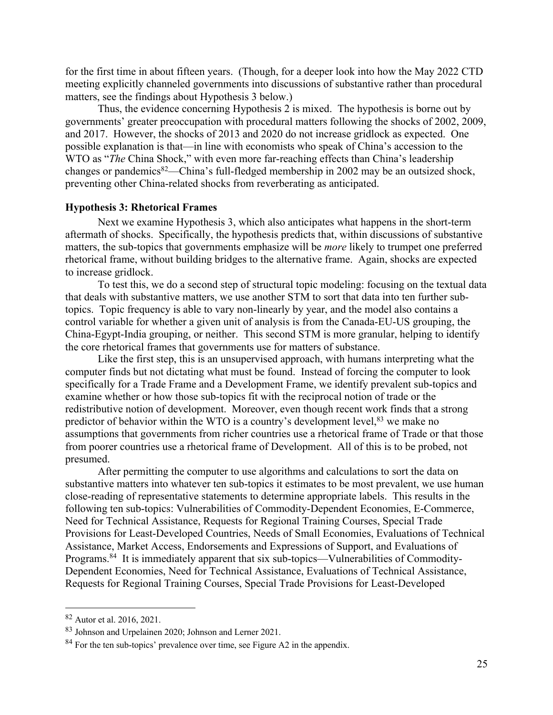for the first time in about fifteen years. (Though, for a deeper look into how the May 2022 CTD meeting explicitly channeled governments into discussions of substantive rather than procedural matters, see the findings about Hypothesis 3 below.)

Thus, the evidence concerning Hypothesis 2 is mixed. The hypothesis is borne out by governments' greater preoccupation with procedural matters following the shocks of 2002, 2009, and 2017. However, the shocks of 2013 and 2020 do not increase gridlock as expected. One possible explanation is that—in line with economists who speak of China's accession to the WTO as "*The* China Shock," with even more far-reaching effects than China's leadership changes or pandemics<sup>82</sup>—China's full-fledged membership in 2002 may be an outsized shock, preventing other China-related shocks from reverberating as anticipated.

#### **Hypothesis 3: Rhetorical Frames**

Next we examine Hypothesis 3, which also anticipates what happens in the short-term aftermath of shocks. Specifically, the hypothesis predicts that, within discussions of substantive matters, the sub-topics that governments emphasize will be *more* likely to trumpet one preferred rhetorical frame, without building bridges to the alternative frame. Again, shocks are expected to increase gridlock.

To test this, we do a second step of structural topic modeling: focusing on the textual data that deals with substantive matters, we use another STM to sort that data into ten further subtopics. Topic frequency is able to vary non-linearly by year, and the model also contains a control variable for whether a given unit of analysis is from the Canada-EU-US grouping, the China-Egypt-India grouping, or neither. This second STM is more granular, helping to identify the core rhetorical frames that governments use for matters of substance.

Like the first step, this is an unsupervised approach, with humans interpreting what the computer finds but not dictating what must be found. Instead of forcing the computer to look specifically for a Trade Frame and a Development Frame, we identify prevalent sub-topics and examine whether or how those sub-topics fit with the reciprocal notion of trade or the redistributive notion of development. Moreover, even though recent work finds that a strong predictor of behavior within the WTO is a country's development level,  $83$  we make no assumptions that governments from richer countries use a rhetorical frame of Trade or that those from poorer countries use a rhetorical frame of Development. All of this is to be probed, not presumed.

After permitting the computer to use algorithms and calculations to sort the data on substantive matters into whatever ten sub-topics it estimates to be most prevalent, we use human close-reading of representative statements to determine appropriate labels. This results in the following ten sub-topics: Vulnerabilities of Commodity-Dependent Economies, E-Commerce, Need for Technical Assistance, Requests for Regional Training Courses, Special Trade Provisions for Least-Developed Countries, Needs of Small Economies, Evaluations of Technical Assistance, Market Access, Endorsements and Expressions of Support, and Evaluations of Programs.<sup>84</sup> It is immediately apparent that six sub-topics—Vulnerabilities of Commodity-Dependent Economies, Need for Technical Assistance, Evaluations of Technical Assistance, Requests for Regional Training Courses, Special Trade Provisions for Least-Developed

<sup>82</sup> Autor et al. 2016, 2021.

<sup>83</sup> Johnson and Urpelainen 2020; Johnson and Lerner 2021.

 $84$  For the ten sub-topics' prevalence over time, see Figure A2 in the appendix.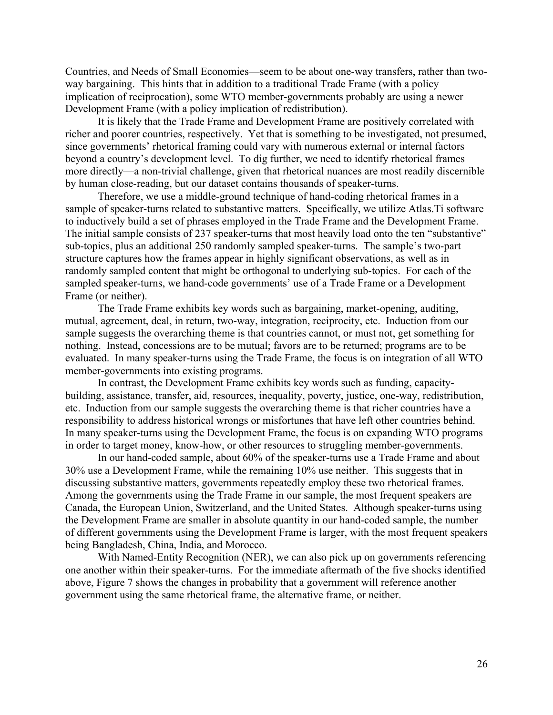Countries, and Needs of Small Economies—seem to be about one-way transfers, rather than twoway bargaining. This hints that in addition to a traditional Trade Frame (with a policy implication of reciprocation), some WTO member-governments probably are using a newer Development Frame (with a policy implication of redistribution).

It is likely that the Trade Frame and Development Frame are positively correlated with richer and poorer countries, respectively. Yet that is something to be investigated, not presumed, since governments' rhetorical framing could vary with numerous external or internal factors beyond a country's development level. To dig further, we need to identify rhetorical frames more directly—a non-trivial challenge, given that rhetorical nuances are most readily discernible by human close-reading, but our dataset contains thousands of speaker-turns.

Therefore, we use a middle-ground technique of hand-coding rhetorical frames in a sample of speaker-turns related to substantive matters. Specifically, we utilize Atlas.Ti software to inductively build a set of phrases employed in the Trade Frame and the Development Frame. The initial sample consists of 237 speaker-turns that most heavily load onto the ten "substantive" sub-topics, plus an additional 250 randomly sampled speaker-turns. The sample's two-part structure captures how the frames appear in highly significant observations, as well as in randomly sampled content that might be orthogonal to underlying sub-topics. For each of the sampled speaker-turns, we hand-code governments' use of a Trade Frame or a Development Frame (or neither).

The Trade Frame exhibits key words such as bargaining, market-opening, auditing, mutual, agreement, deal, in return, two-way, integration, reciprocity, etc. Induction from our sample suggests the overarching theme is that countries cannot, or must not, get something for nothing. Instead, concessions are to be mutual; favors are to be returned; programs are to be evaluated. In many speaker-turns using the Trade Frame, the focus is on integration of all WTO member-governments into existing programs.

In contrast, the Development Frame exhibits key words such as funding, capacitybuilding, assistance, transfer, aid, resources, inequality, poverty, justice, one-way, redistribution, etc. Induction from our sample suggests the overarching theme is that richer countries have a responsibility to address historical wrongs or misfortunes that have left other countries behind. In many speaker-turns using the Development Frame, the focus is on expanding WTO programs in order to target money, know-how, or other resources to struggling member-governments.

In our hand-coded sample, about 60% of the speaker-turns use a Trade Frame and about 30% use a Development Frame, while the remaining 10% use neither. This suggests that in discussing substantive matters, governments repeatedly employ these two rhetorical frames. Among the governments using the Trade Frame in our sample, the most frequent speakers are Canada, the European Union, Switzerland, and the United States. Although speaker-turns using the Development Frame are smaller in absolute quantity in our hand-coded sample, the number of different governments using the Development Frame is larger, with the most frequent speakers being Bangladesh, China, India, and Morocco.

With Named-Entity Recognition (NER), we can also pick up on governments referencing one another within their speaker-turns. For the immediate aftermath of the five shocks identified above, Figure 7 shows the changes in probability that a government will reference another government using the same rhetorical frame, the alternative frame, or neither.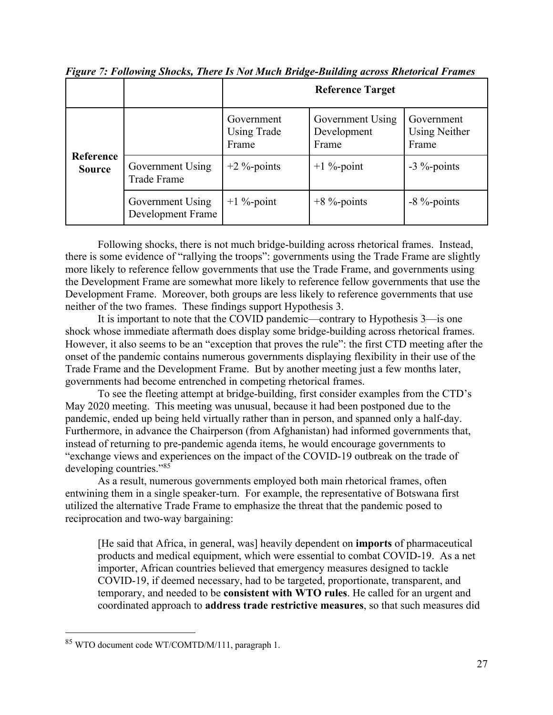|                            |                                       | <b>Reference Target</b>                   |                                          |                                             |
|----------------------------|---------------------------------------|-------------------------------------------|------------------------------------------|---------------------------------------------|
|                            |                                       | Government<br><b>Using Trade</b><br>Frame | Government Using<br>Development<br>Frame | Government<br><b>Using Neither</b><br>Frame |
| Reference<br><b>Source</b> | Government Using<br>Trade Frame       | $+2\%$ -points                            | $+1\%$ -point                            | $-3$ %-points                               |
|                            | Government Using<br>Development Frame | $+1\%$ -point                             | $+8$ %-points                            | $-8\%$ -points                              |

*Figure 7: Following Shocks, There Is Not Much Bridge-Building across Rhetorical Frames* 

Following shocks, there is not much bridge-building across rhetorical frames. Instead, there is some evidence of "rallying the troops": governments using the Trade Frame are slightly more likely to reference fellow governments that use the Trade Frame, and governments using the Development Frame are somewhat more likely to reference fellow governments that use the Development Frame. Moreover, both groups are less likely to reference governments that use neither of the two frames. These findings support Hypothesis 3.

It is important to note that the COVID pandemic—contrary to Hypothesis 3—is one shock whose immediate aftermath does display some bridge-building across rhetorical frames. However, it also seems to be an "exception that proves the rule": the first CTD meeting after the onset of the pandemic contains numerous governments displaying flexibility in their use of the Trade Frame and the Development Frame. But by another meeting just a few months later, governments had become entrenched in competing rhetorical frames.

To see the fleeting attempt at bridge-building, first consider examples from the CTD's May 2020 meeting. This meeting was unusual, because it had been postponed due to the pandemic, ended up being held virtually rather than in person, and spanned only a half-day. Furthermore, in advance the Chairperson (from Afghanistan) had informed governments that, instead of returning to pre-pandemic agenda items, he would encourage governments to "exchange views and experiences on the impact of the COVID-19 outbreak on the trade of developing countries."<sup>85</sup>

As a result, numerous governments employed both main rhetorical frames, often entwining them in a single speaker-turn. For example, the representative of Botswana first utilized the alternative Trade Frame to emphasize the threat that the pandemic posed to reciprocation and two-way bargaining:

[He said that Africa, in general, was] heavily dependent on **imports** of pharmaceutical products and medical equipment, which were essential to combat COVID-19. As a net importer, African countries believed that emergency measures designed to tackle COVID-19, if deemed necessary, had to be targeted, proportionate, transparent, and temporary, and needed to be **consistent with WTO rules**. He called for an urgent and coordinated approach to **address trade restrictive measures**, so that such measures did

<sup>85</sup> WTO document code WT/COMTD/M/111, paragraph 1.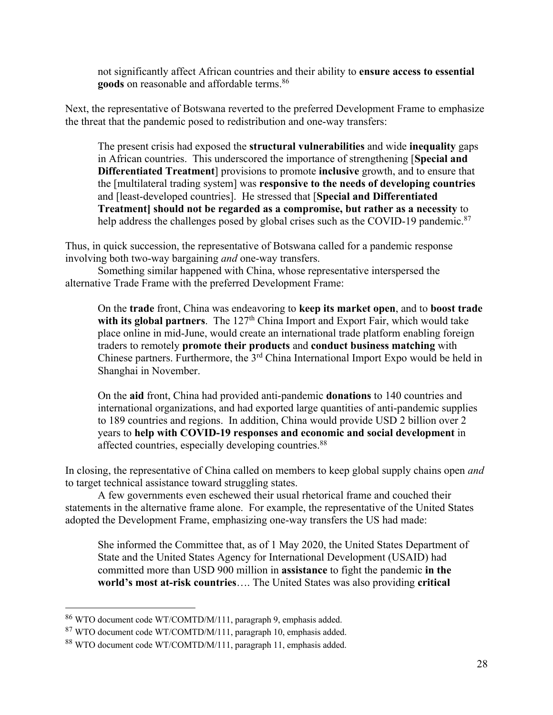not significantly affect African countries and their ability to **ensure access to essential**  goods on reasonable and affordable terms.<sup>86</sup>

Next, the representative of Botswana reverted to the preferred Development Frame to emphasize the threat that the pandemic posed to redistribution and one-way transfers:

The present crisis had exposed the **structural vulnerabilities** and wide **inequality** gaps in African countries. This underscored the importance of strengthening [**Special and Differentiated Treatment**] provisions to promote **inclusive** growth, and to ensure that the [multilateral trading system] was **responsive to the needs of developing countries** and [least-developed countries]. He stressed that [**Special and Differentiated Treatment] should not be regarded as a compromise, but rather as a necessity** to help address the challenges posed by global crises such as the COVID-19 pandemic.<sup>87</sup>

Thus, in quick succession, the representative of Botswana called for a pandemic response involving both two-way bargaining *and* one-way transfers.

Something similar happened with China, whose representative interspersed the alternative Trade Frame with the preferred Development Frame:

On the **trade** front, China was endeavoring to **keep its market open**, and to **boost trade**  with its global partners. The 127<sup>th</sup> China Import and Export Fair, which would take place online in mid-June, would create an international trade platform enabling foreign traders to remotely **promote their products** and **conduct business matching** with Chinese partners. Furthermore, the  $3<sup>rd</sup>$  China International Import Expo would be held in Shanghai in November.

On the **aid** front, China had provided anti-pandemic **donations** to 140 countries and international organizations, and had exported large quantities of anti-pandemic supplies to 189 countries and regions. In addition, China would provide USD 2 billion over 2 years to **help with COVID-19 responses and economic and social development** in affected countries, especially developing countries.88

In closing, the representative of China called on members to keep global supply chains open *and* to target technical assistance toward struggling states.

A few governments even eschewed their usual rhetorical frame and couched their statements in the alternative frame alone. For example, the representative of the United States adopted the Development Frame, emphasizing one-way transfers the US had made:

She informed the Committee that, as of 1 May 2020, the United States Department of State and the United States Agency for International Development (USAID) had committed more than USD 900 million in **assistance** to fight the pandemic **in the world's most at-risk countries**…. The United States was also providing **critical** 

<sup>86</sup> WTO document code WT/COMTD/M/111, paragraph 9, emphasis added.

<sup>87</sup> WTO document code WT/COMTD/M/111, paragraph 10, emphasis added.

<sup>88</sup> WTO document code WT/COMTD/M/111, paragraph 11, emphasis added.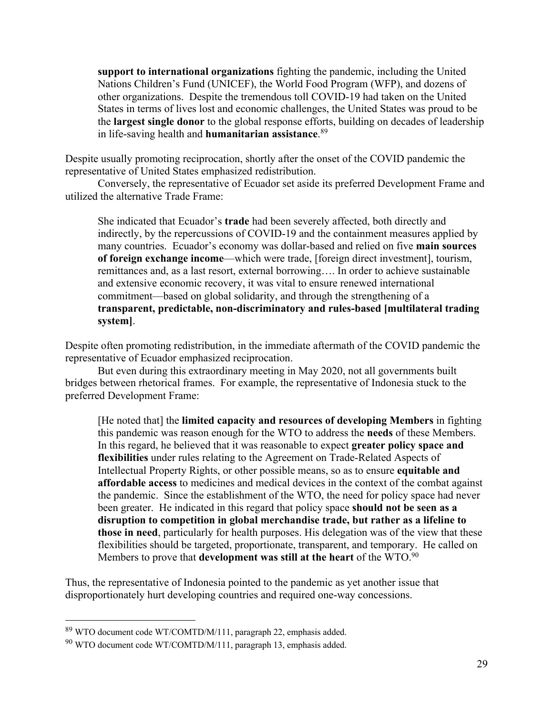**support to international organizations** fighting the pandemic, including the United Nations Children's Fund (UNICEF), the World Food Program (WFP), and dozens of other organizations. Despite the tremendous toll COVID-19 had taken on the United States in terms of lives lost and economic challenges, the United States was proud to be the **largest single donor** to the global response efforts, building on decades of leadership in life-saving health and **humanitarian assistance**. 89

Despite usually promoting reciprocation, shortly after the onset of the COVID pandemic the representative of United States emphasized redistribution.

Conversely, the representative of Ecuador set aside its preferred Development Frame and utilized the alternative Trade Frame:

She indicated that Ecuador's **trade** had been severely affected, both directly and indirectly, by the repercussions of COVID-19 and the containment measures applied by many countries. Ecuador's economy was dollar-based and relied on five **main sources of foreign exchange income**—which were trade, [foreign direct investment], tourism, remittances and, as a last resort, external borrowing…. In order to achieve sustainable and extensive economic recovery, it was vital to ensure renewed international commitment—based on global solidarity, and through the strengthening of a **transparent, predictable, non-discriminatory and rules-based [multilateral trading system]**.

Despite often promoting redistribution, in the immediate aftermath of the COVID pandemic the representative of Ecuador emphasized reciprocation.

But even during this extraordinary meeting in May 2020, not all governments built bridges between rhetorical frames. For example, the representative of Indonesia stuck to the preferred Development Frame:

[He noted that] the **limited capacity and resources of developing Members** in fighting this pandemic was reason enough for the WTO to address the **needs** of these Members. In this regard, he believed that it was reasonable to expect **greater policy space and flexibilities** under rules relating to the Agreement on Trade-Related Aspects of Intellectual Property Rights, or other possible means, so as to ensure **equitable and affordable access** to medicines and medical devices in the context of the combat against the pandemic. Since the establishment of the WTO, the need for policy space had never been greater. He indicated in this regard that policy space **should not be seen as a disruption to competition in global merchandise trade, but rather as a lifeline to those in need**, particularly for health purposes. His delegation was of the view that these flexibilities should be targeted, proportionate, transparent, and temporary. He called on Members to prove that **development was still at the heart** of the WTO.90

Thus, the representative of Indonesia pointed to the pandemic as yet another issue that disproportionately hurt developing countries and required one-way concessions.

<sup>89</sup> WTO document code WT/COMTD/M/111, paragraph 22, emphasis added.

<sup>90</sup> WTO document code WT/COMTD/M/111, paragraph 13, emphasis added.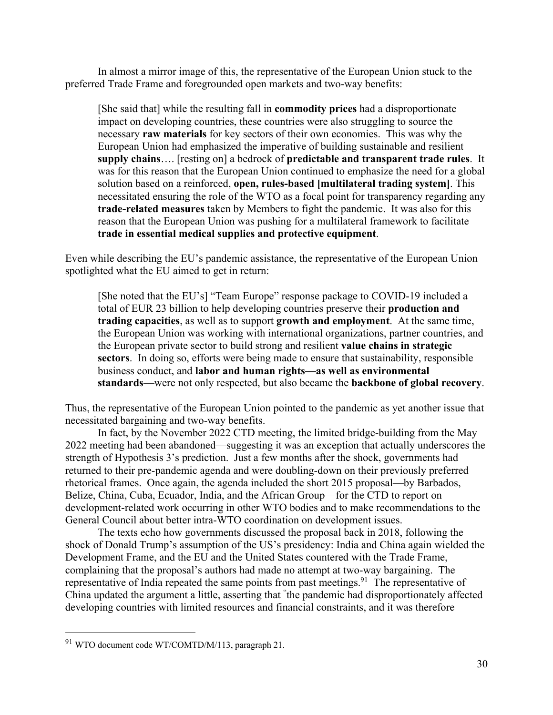In almost a mirror image of this, the representative of the European Union stuck to the preferred Trade Frame and foregrounded open markets and two-way benefits:

[She said that] while the resulting fall in **commodity prices** had a disproportionate impact on developing countries, these countries were also struggling to source the necessary **raw materials** for key sectors of their own economies. This was why the European Union had emphasized the imperative of building sustainable and resilient **supply chains**…. [resting on] a bedrock of **predictable and transparent trade rules**. It was for this reason that the European Union continued to emphasize the need for a global solution based on a reinforced, **open, rules-based [multilateral trading system]**. This necessitated ensuring the role of the WTO as a focal point for transparency regarding any **trade-related measures** taken by Members to fight the pandemic. It was also for this reason that the European Union was pushing for a multilateral framework to facilitate **trade in essential medical supplies and protective equipment**.

Even while describing the EU's pandemic assistance, the representative of the European Union spotlighted what the EU aimed to get in return:

[She noted that the EU's] "Team Europe" response package to COVID-19 included a total of EUR 23 billion to help developing countries preserve their **production and trading capacities**, as well as to support **growth and employment**. At the same time, the European Union was working with international organizations, partner countries, and the European private sector to build strong and resilient **value chains in strategic sectors**. In doing so, efforts were being made to ensure that sustainability, responsible business conduct, and **labor and human rights—as well as environmental standards**—were not only respected, but also became the **backbone of global recovery**.

Thus, the representative of the European Union pointed to the pandemic as yet another issue that necessitated bargaining and two-way benefits.

In fact, by the November 2022 CTD meeting, the limited bridge-building from the May 2022 meeting had been abandoned—suggesting it was an exception that actually underscores the strength of Hypothesis 3's prediction. Just a few months after the shock, governments had returned to their pre-pandemic agenda and were doubling-down on their previously preferred rhetorical frames. Once again, the agenda included the short 2015 proposal—by Barbados, Belize, China, Cuba, Ecuador, India, and the African Group—for the CTD to report on development-related work occurring in other WTO bodies and to make recommendations to the General Council about better intra-WTO coordination on development issues.

The texts echo how governments discussed the proposal back in 2018, following the shock of Donald Trump's assumption of the US's presidency: India and China again wielded the Development Frame, and the EU and the United States countered with the Trade Frame, complaining that the proposal's authors had made no attempt at two-way bargaining. The representative of India repeated the same points from past meetings.<sup>91</sup> The representative of China updated the argument a little, asserting that " the pandemic had disproportionately affected developing countries with limited resources and financial constraints, and it was therefore

<sup>91</sup> WTO document code WT/COMTD/M/113, paragraph 21.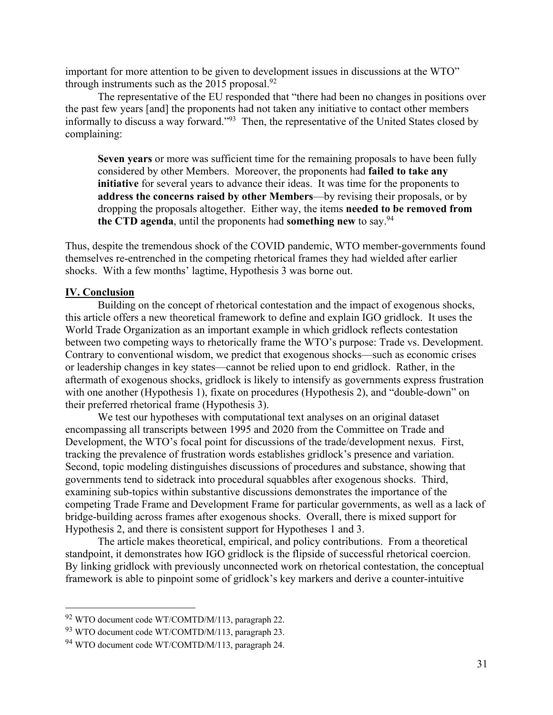important for more attention to be given to development issues in discussions at the WTO" through instruments such as the  $2015$  proposal.<sup>92</sup>

The representative of the EU responded that "there had been no changes in positions over the past few years [and] the proponents had not taken any initiative to contact other members informally to discuss a way forward."93 Then, the representative of the United States closed by complaining:

**Seven years** or more was sufficient time for the remaining proposals to have been fully considered by other Members. Moreover, the proponents had **failed to take any initiative** for several years to advance their ideas. It was time for the proponents to **address the concerns raised by other Members**—by revising their proposals, or by dropping the proposals altogether. Either way, the items **needed to be removed from the CTD agenda**, until the proponents had **something new** to say.94

Thus, despite the tremendous shock of the COVID pandemic, WTO member-governments found themselves re-entrenched in the competing rhetorical frames they had wielded after earlier shocks. With a few months' lagtime, Hypothesis 3 was borne out.

## **IV. Conclusion**

Building on the concept of rhetorical contestation and the impact of exogenous shocks, this article offers a new theoretical framework to define and explain IGO gridlock. It uses the World Trade Organization as an important example in which gridlock reflects contestation between two competing ways to rhetorically frame the WTO's purpose: Trade vs. Development. Contrary to conventional wisdom, we predict that exogenous shocks—such as economic crises or leadership changes in key states—cannot be relied upon to end gridlock. Rather, in the aftermath of exogenous shocks, gridlock is likely to intensify as governments express frustration with one another (Hypothesis 1), fixate on procedures (Hypothesis 2), and "double-down" on their preferred rhetorical frame (Hypothesis 3).

We test our hypotheses with computational text analyses on an original dataset encompassing all transcripts between 1995 and 2020 from the Committee on Trade and Development, the WTO's focal point for discussions of the trade/development nexus. First, tracking the prevalence of frustration words establishes gridlock's presence and variation. Second, topic modeling distinguishes discussions of procedures and substance, showing that governments tend to sidetrack into procedural squabbles after exogenous shocks. Third, examining sub-topics within substantive discussions demonstrates the importance of the competing Trade Frame and Development Frame for particular governments, as well as a lack of bridge-building across frames after exogenous shocks. Overall, there is mixed support for Hypothesis 2, and there is consistent support for Hypotheses 1 and 3.

The article makes theoretical, empirical, and policy contributions. From a theoretical standpoint, it demonstrates how IGO gridlock is the flipside of successful rhetorical coercion. By linking gridlock with previously unconnected work on rhetorical contestation, the conceptual framework is able to pinpoint some of gridlock's key markers and derive a counter-intuitive

<sup>92</sup> WTO document code WT/COMTD/M/113, paragraph 22.

<sup>93</sup> WTO document code WT/COMTD/M/113, paragraph 23.

<sup>94</sup> WTO document code WT/COMTD/M/113, paragraph 24.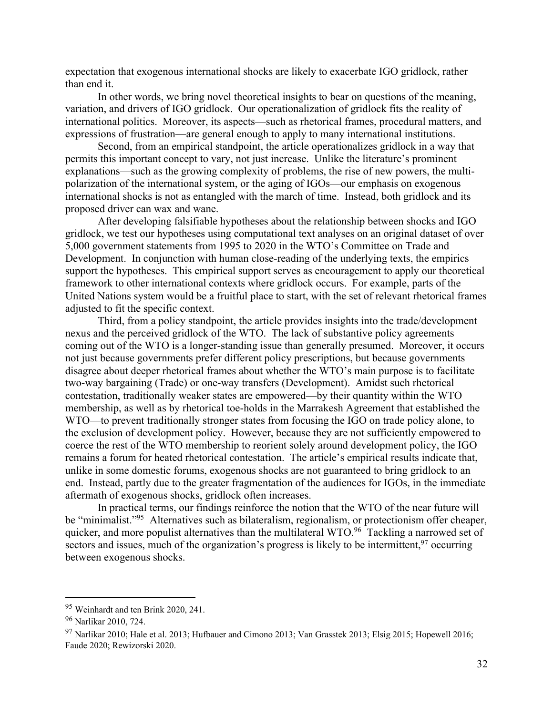expectation that exogenous international shocks are likely to exacerbate IGO gridlock, rather than end it.

In other words, we bring novel theoretical insights to bear on questions of the meaning, variation, and drivers of IGO gridlock. Our operationalization of gridlock fits the reality of international politics. Moreover, its aspects—such as rhetorical frames, procedural matters, and expressions of frustration—are general enough to apply to many international institutions.

Second, from an empirical standpoint, the article operationalizes gridlock in a way that permits this important concept to vary, not just increase. Unlike the literature's prominent explanations—such as the growing complexity of problems, the rise of new powers, the multipolarization of the international system, or the aging of IGOs—our emphasis on exogenous international shocks is not as entangled with the march of time. Instead, both gridlock and its proposed driver can wax and wane.

After developing falsifiable hypotheses about the relationship between shocks and IGO gridlock, we test our hypotheses using computational text analyses on an original dataset of over 5,000 government statements from 1995 to 2020 in the WTO's Committee on Trade and Development. In conjunction with human close-reading of the underlying texts, the empirics support the hypotheses. This empirical support serves as encouragement to apply our theoretical framework to other international contexts where gridlock occurs. For example, parts of the United Nations system would be a fruitful place to start, with the set of relevant rhetorical frames adjusted to fit the specific context.

Third, from a policy standpoint, the article provides insights into the trade/development nexus and the perceived gridlock of the WTO. The lack of substantive policy agreements coming out of the WTO is a longer-standing issue than generally presumed. Moreover, it occurs not just because governments prefer different policy prescriptions, but because governments disagree about deeper rhetorical frames about whether the WTO's main purpose is to facilitate two-way bargaining (Trade) or one-way transfers (Development). Amidst such rhetorical contestation, traditionally weaker states are empowered—by their quantity within the WTO membership, as well as by rhetorical toe-holds in the Marrakesh Agreement that established the WTO—to prevent traditionally stronger states from focusing the IGO on trade policy alone, to the exclusion of development policy. However, because they are not sufficiently empowered to coerce the rest of the WTO membership to reorient solely around development policy, the IGO remains a forum for heated rhetorical contestation. The article's empirical results indicate that, unlike in some domestic forums, exogenous shocks are not guaranteed to bring gridlock to an end. Instead, partly due to the greater fragmentation of the audiences for IGOs, in the immediate aftermath of exogenous shocks, gridlock often increases.

In practical terms, our findings reinforce the notion that the WTO of the near future will be "minimalist."<sup>95</sup> Alternatives such as bilateralism, regionalism, or protectionism offer cheaper, quicker, and more populist alternatives than the multilateral WTO.<sup>96</sup> Tackling a narrowed set of sectors and issues, much of the organization's progress is likely to be intermittent,  $97$  occurring between exogenous shocks.

<sup>95</sup> Weinhardt and ten Brink 2020, 241.

<sup>96</sup> Narlikar 2010, 724.

<sup>97</sup> Narlikar 2010; Hale et al. 2013; Hufbauer and Cimono 2013; Van Grasstek 2013; Elsig 2015; Hopewell 2016; Faude 2020; Rewizorski 2020.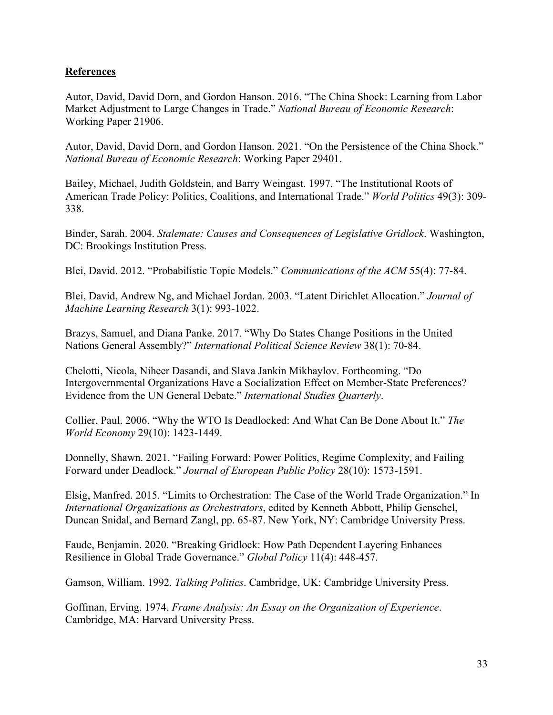# **References**

Autor, David, David Dorn, and Gordon Hanson. 2016. "The China Shock: Learning from Labor Market Adjustment to Large Changes in Trade." *National Bureau of Economic Research*: Working Paper 21906.

Autor, David, David Dorn, and Gordon Hanson. 2021. "On the Persistence of the China Shock." *National Bureau of Economic Research*: Working Paper 29401.

Bailey, Michael, Judith Goldstein, and Barry Weingast. 1997. "The Institutional Roots of American Trade Policy: Politics, Coalitions, and International Trade." *World Politics* 49(3): 309- 338.

Binder, Sarah. 2004. *Stalemate: Causes and Consequences of Legislative Gridlock*. Washington, DC: Brookings Institution Press.

Blei, David. 2012. "Probabilistic Topic Models." *Communications of the ACM* 55(4): 77-84.

Blei, David, Andrew Ng, and Michael Jordan. 2003. "Latent Dirichlet Allocation." *Journal of Machine Learning Research* 3(1): 993-1022.

Brazys, Samuel, and Diana Panke. 2017. "Why Do States Change Positions in the United Nations General Assembly?" *International Political Science Review* 38(1): 70-84.

Chelotti, Nicola, Niheer Dasandi, and Slava Jankin Mikhaylov. Forthcoming. "Do Intergovernmental Organizations Have a Socialization Effect on Member-State Preferences? Evidence from the UN General Debate." *International Studies Quarterly*.

Collier, Paul. 2006. "Why the WTO Is Deadlocked: And What Can Be Done About It." *The World Economy* 29(10): 1423-1449.

Donnelly, Shawn. 2021. "Failing Forward: Power Politics, Regime Complexity, and Failing Forward under Deadlock." *Journal of European Public Policy* 28(10): 1573-1591.

Elsig, Manfred. 2015. "Limits to Orchestration: The Case of the World Trade Organization." In *International Organizations as Orchestrators*, edited by Kenneth Abbott, Philip Genschel, Duncan Snidal, and Bernard Zangl, pp. 65-87. New York, NY: Cambridge University Press.

Faude, Benjamin. 2020. "Breaking Gridlock: How Path Dependent Layering Enhances Resilience in Global Trade Governance." *Global Policy* 11(4): 448-457.

Gamson, William. 1992. *Talking Politics*. Cambridge, UK: Cambridge University Press.

Goffman, Erving. 1974. *Frame Analysis: An Essay on the Organization of Experience*. Cambridge, MA: Harvard University Press.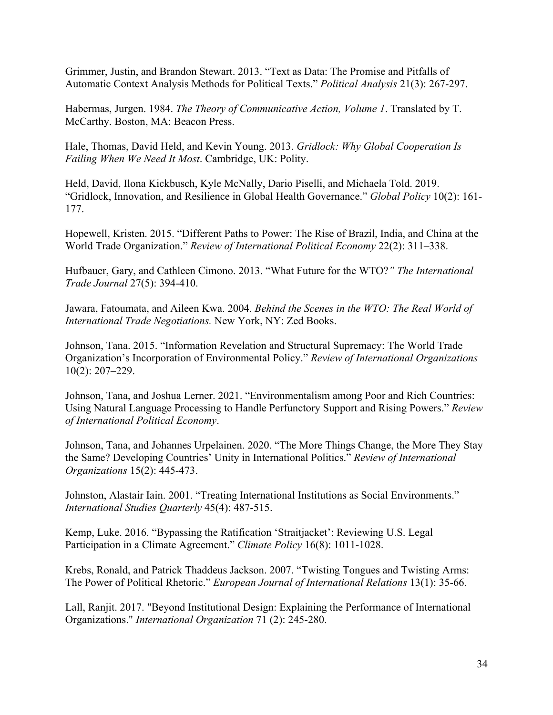Grimmer, Justin, and Brandon Stewart. 2013. "Text as Data: The Promise and Pitfalls of Automatic Context Analysis Methods for Political Texts." *Political Analysis* 21(3): 267-297.

Habermas, Jurgen. 1984. *The Theory of Communicative Action, Volume 1*. Translated by T. McCarthy. Boston, MA: Beacon Press.

Hale, Thomas, David Held, and Kevin Young. 2013. *Gridlock: Why Global Cooperation Is Failing When We Need It Most*. Cambridge, UK: Polity.

Held, David, Ilona Kickbusch, Kyle McNally, Dario Piselli, and Michaela Told. 2019. "Gridlock, Innovation, and Resilience in Global Health Governance." *Global Policy* 10(2): 161- 177.

Hopewell, Kristen. 2015. "Different Paths to Power: The Rise of Brazil, India, and China at the World Trade Organization." *Review of International Political Economy* 22(2): 311–338.

Hufbauer, Gary, and Cathleen Cimono. 2013. "What Future for the WTO?*" The International Trade Journal* 27(5): 394-410.

Jawara, Fatoumata, and Aileen Kwa. 2004. *Behind the Scenes in the WTO: The Real World of International Trade Negotiations.* New York, NY: Zed Books.

Johnson, Tana. 2015. "Information Revelation and Structural Supremacy: The World Trade Organization's Incorporation of Environmental Policy." *Review of International Organizations*  10(2): 207–229.

Johnson, Tana, and Joshua Lerner. 2021. "Environmentalism among Poor and Rich Countries: Using Natural Language Processing to Handle Perfunctory Support and Rising Powers." *Review of International Political Economy*.

Johnson, Tana, and Johannes Urpelainen. 2020. "The More Things Change, the More They Stay the Same? Developing Countries' Unity in International Politics." *Review of International Organizations* 15(2): 445-473.

Johnston, Alastair Iain. 2001. "Treating International Institutions as Social Environments." *International Studies Quarterly* 45(4): 487-515.

Kemp, Luke. 2016. "Bypassing the Ratification 'Straitjacket': Reviewing U.S. Legal Participation in a Climate Agreement." *Climate Policy* 16(8): 1011-1028.

Krebs, Ronald, and Patrick Thaddeus Jackson. 2007. "Twisting Tongues and Twisting Arms: The Power of Political Rhetoric." *European Journal of International Relations* 13(1): 35-66.

Lall, Ranjit. 2017. "Beyond Institutional Design: Explaining the Performance of International Organizations." *International Organization* 71 (2): 245-280.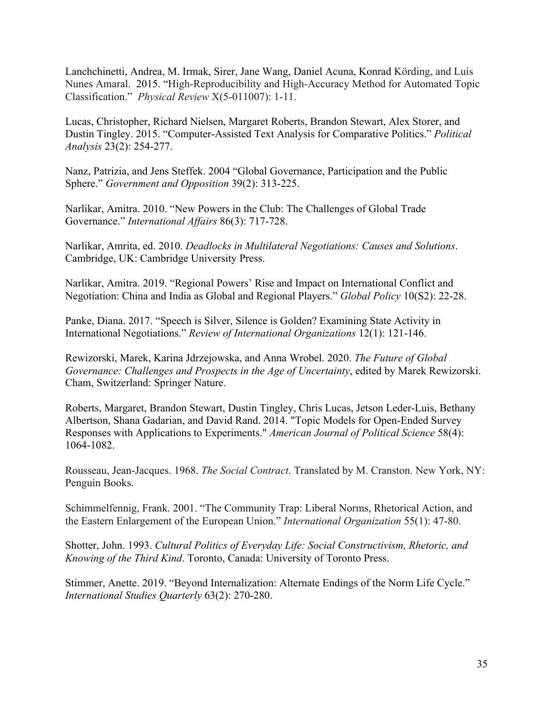Lanchchinetti, Andrea, M. Irmak, Sirer, Jane Wang, Daniel Acuna, Konrad Körding, and Luís Nunes Amaral. 2015. "High-Reproducibility and High-Accuracy Method for Automated Topic Classification." *Physical Review* X(5-011007): 1-11.

Lucas, Christopher, Richard Nielsen, Margaret Roberts, Brandon Stewart, Alex Storer, and Dustin Tingley. 2015. "Computer-Assisted Text Analysis for Comparative Politics." *Political Analysis* 23(2): 254-277.

Nanz, Patrizia, and Jens Steffek. 2004 "Global Governance, Participation and the Public Sphere." *Government and Opposition* 39(2): 313-225.

Narlikar, Amitra. 2010. "New Powers in the Club: The Challenges of Global Trade Governance." *International Affairs* 86(3): 717-728.

Narlikar, Amrita, ed. 2010. *Deadlocks in Multilateral Negotiations: Causes and Solutions*. Cambridge, UK: Cambridge University Press.

Narlikar, Amitra. 2019. "Regional Powers' Rise and Impact on International Conflict and Negotiation: China and India as Global and Regional Players." *Global Policy* 10(S2): 22-28.

Panke, Diana. 2017. "Speech is Silver, Silence is Golden? Examining State Activity in International Negotiations." *Review of International Organizations* 12(1): 121-146.

Rewizorski, Marek, Karina Jdrzejowska, and Anna Wrobel. 2020. *The Future of Global Governance: Challenges and Prospects in the Age of Uncertainty*, edited by Marek Rewizorski. Cham, Switzerland: Springer Nature.

Roberts, Margaret, Brandon Stewart, Dustin Tingley, Chris Lucas, Jetson Leder-Luis, Bethany Albertson, Shana Gadarian, and David Rand. 2014. "Topic Models for Open-Ended Survey Responses with Applications to Experiments." *American Journal of Political Science* 58(4): 1064-1082.

Rousseau, Jean-Jacques. 1968. *The Social Contract*. Translated by M. Cranston. New York, NY: Penguin Books.

Schimmelfennig, Frank. 2001. "The Community Trap: Liberal Norms, Rhetorical Action, and the Eastern Enlargement of the European Union." *International Organization* 55(1): 47-80.

Shotter, John. 1993. *Cultural Politics of Everyday Life: Social Constructivism, Rhetoric, and Knowing of the Third Kind*. Toronto, Canada: University of Toronto Press.

Stimmer, Anette. 2019. "Beyond Internalization: Alternate Endings of the Norm Life Cycle." *International Studies Quarterly* 63(2): 270-280.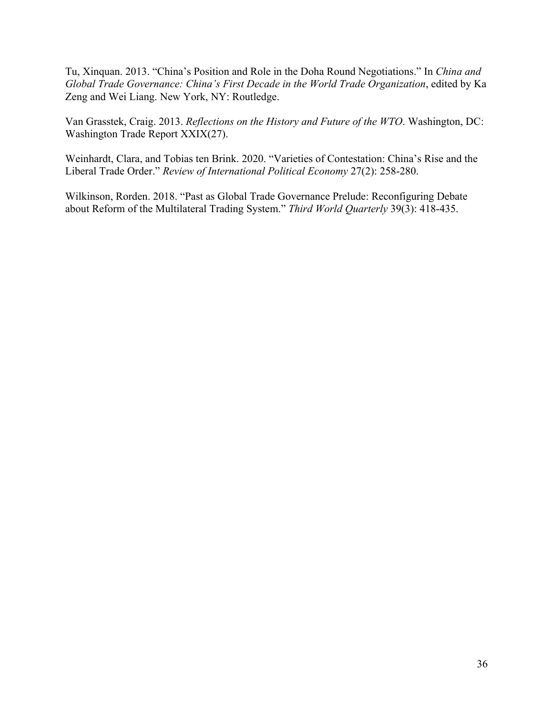Tu, Xinquan. 2013. "China's Position and Role in the Doha Round Negotiations." In *China and Global Trade Governance: China's First Decade in the World Trade Organization*, edited by Ka Zeng and Wei Liang. New York, NY: Routledge.

Van Grasstek, Craig. 2013. *Reflections on the History and Future of the WTO*. Washington, DC: Washington Trade Report XXIX(27).

Weinhardt, Clara, and Tobias ten Brink. 2020. "Varieties of Contestation: China's Rise and the Liberal Trade Order." *Review of International Political Economy* 27(2): 258-280.

Wilkinson, Rorden. 2018. "Past as Global Trade Governance Prelude: Reconfiguring Debate about Reform of the Multilateral Trading System." *Third World Quarterly* 39(3): 418-435.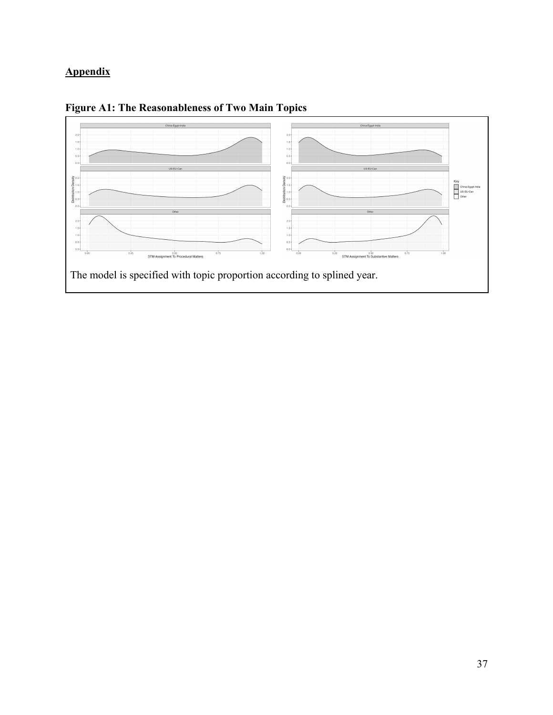# **Appendix**



**Figure A1: The Reasonableness of Two Main Topics**